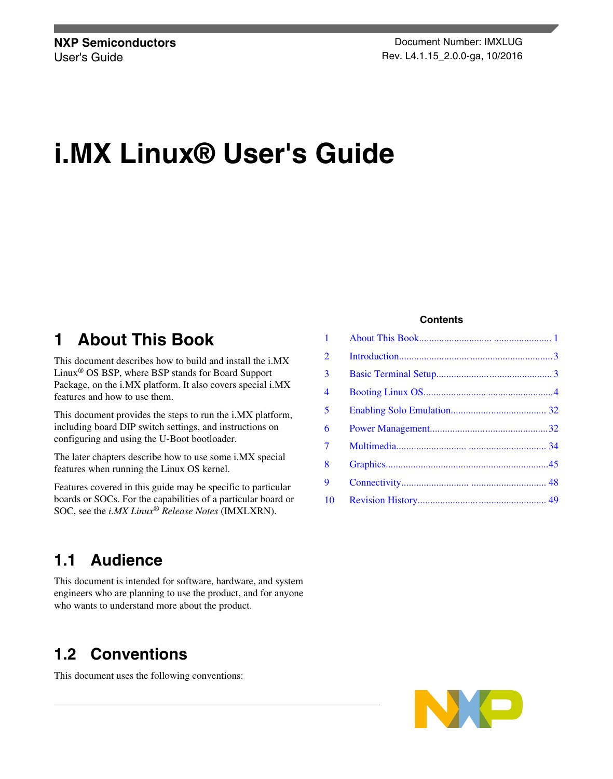**NXP Semiconductors Document Number: IMXLUG** User's Guide **Contract Contract Contract Contract Contract Contract Contract Contract Contract Contract Contract Contract Contract Contract Contract Contract Contract Contract Contract Contract Contract Contract Contract C** 

# **i.MX Linux® User's Guide**

## **1 About This Book**

This document describes how to build and install the i.MX Linux® OS BSP, where BSP stands for Board Support Package, on the i.MX platform. It also covers special i.MX features and how to use them.

This document provides the steps to run the i.MX platform, including board DIP switch settings, and instructions on configuring and using the U-Boot bootloader.

The later chapters describe how to use some i.MX special features when running the Linux OS kernel.

Features covered in this guide may be specific to particular boards or SOCs. For the capabilities of a particular board or SOC, see the *i.MX Linux® Release Notes* (IMXLXRN).

### **Contents**

| 1              |  |
|----------------|--|
| $\overline{2}$ |  |
| $\overline{3}$ |  |
| 4              |  |
| 5              |  |
| 6              |  |
| 7              |  |
| 8              |  |
| 9              |  |
| 10             |  |

### **1.1 Audience**

This document is intended for software, hardware, and system engineers who are planning to use the product, and for anyone who wants to understand more about the product.

## **1.2 Conventions**

This document uses the following conventions: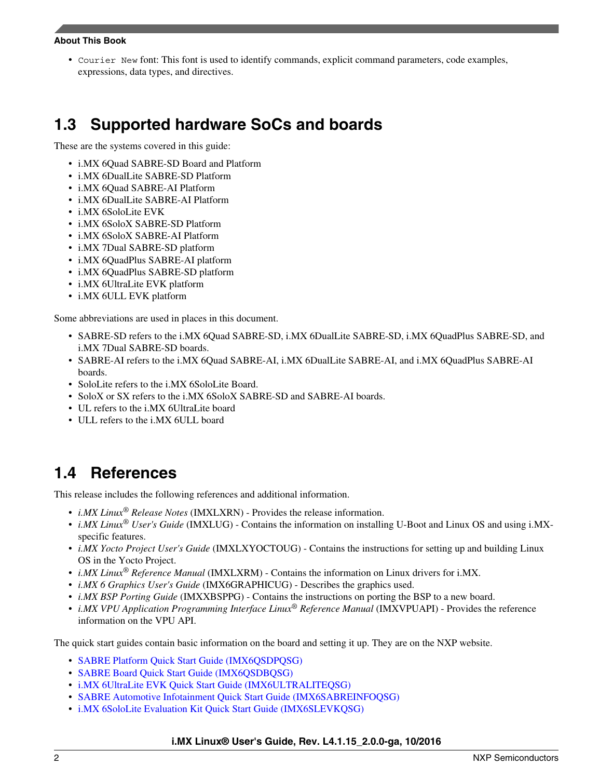#### **About This Book**

• Courier New font: This font is used to identify commands, explicit command parameters, code examples, expressions, data types, and directives.

## **1.3 Supported hardware SoCs and boards**

These are the systems covered in this guide:

- i.MX 6Quad SABRE-SD Board and Platform
- i.MX 6DualLite SABRE-SD Platform
- i.MX 6Quad SABRE-AI Platform
- i.MX 6DualLite SABRE-AI Platform
- i.MX 6SoloLite EVK
- i.MX 6SoloX SABRE-SD Platform
- i.MX 6SoloX SABRE-AI Platform
- i.MX 7Dual SABRE-SD platform
- i.MX 6QuadPlus SABRE-AI platform
- i.MX 6QuadPlus SABRE-SD platform
- i.MX 6UltraLite EVK platform
- i.MX 6ULL EVK platform

Some abbreviations are used in places in this document.

- SABRE-SD refers to the i.MX 6Quad SABRE-SD, i.MX 6DualLite SABRE-SD, i.MX 6QuadPlus SABRE-SD, and i.MX 7Dual SABRE-SD boards.
- SABRE-AI refers to the i.MX 6Quad SABRE-AI, i.MX 6DualLite SABRE-AI, and i.MX 6QuadPlus SABRE-AI boards.
- SoloLite refers to the i.MX 6SoloLite Board.
- SoloX or SX refers to the i.MX 6SoloX SABRE-SD and SABRE-AI boards.
- UL refers to the i.MX 6UltraLite board
- ULL refers to the i.MX 6ULL board

## **1.4 References**

This release includes the following references and additional information.

- *i.MX Linux® Release Notes* (IMXLXRN) Provides the release information.
- *i.MX Linux® User's Guide* (IMXLUG) Contains the information on installing U-Boot and Linux OS and using i.MXspecific features.
- *i.MX Yocto Project User's Guide* (IMXLXYOCTOUG) Contains the instructions for setting up and building Linux OS in the Yocto Project.
- *i.MX Linux® Reference Manual* (IMXLXRM) Contains the information on Linux drivers for i.MX.
- *i.MX 6 Graphics User's Guide* (IMX6GRAPHICUG) Describes the graphics used.
- *i.MX BSP Porting Guide* (IMXXBSPPG) Contains the instructions on porting the BSP to a new board.
- *i.MX VPU Application Programming Interface Linux® Reference Manual* (IMXVPUAPI) Provides the reference information on the VPU API.

The quick start guides contain basic information on the board and setting it up. They are on the NXP website.

- [SABRE Platform Quick Start Guide \(IMX6QSDPQSG\)](http://www.nxp.com/files/32bit/doc/quick_start_guide/SABRESDP_IMX6_QSG.pdf?fpsp=1)
- [SABRE Board Quick Start Guide \(IMX6QSDBQSG\)](http://www.nxp.com/files/32bit/doc/quick_start_guide/SABRESDB_IMX6_QSG.pdf?fpsp=1)
- [i.MX 6UltraLite EVK Quick Start Guide \(IMX6ULTRALITEQSG\)](http://cache.nxp.com/files/32bit/doc/quick_start_guide/IMX6ULTRALITEQSG.pdf)
- [SABRE Automotive Infotainment Quick Start Guide \(IMX6SABREINFOQSG\)](http://www.nxp.com/files/32bit/doc/user_guide/IMX6SABREINFOQSG.pdf?fpsp=1)
- [i.MX 6SoloLite Evaluation Kit Quick Start Guide \(IMX6SLEVKQSG\)](http://www.nxp.com/files/32bit/doc/quick_start_guide/IMX6SL_EVK_QSG.pdf?fpsp=1)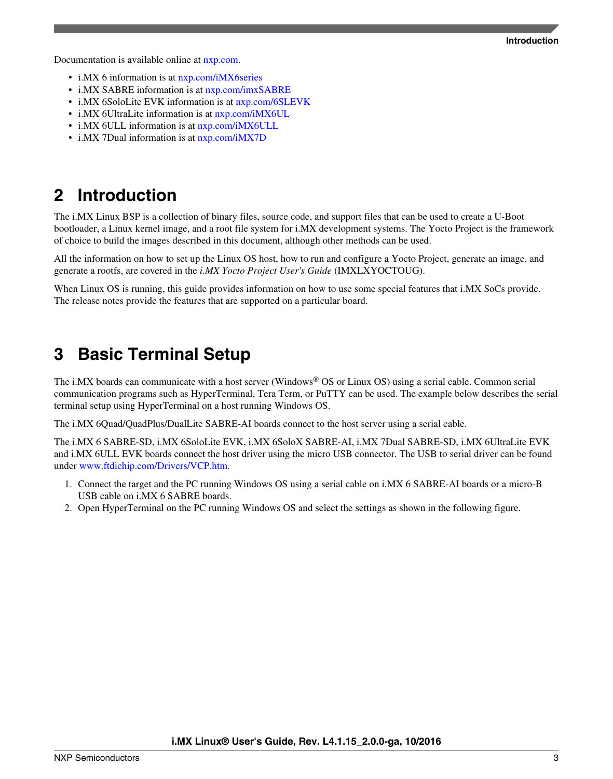<span id="page-2-0"></span>Documentation is available online at [nxp.com.](http://www.nxp.com)

- i.MX 6 information is at [nxp.com/iMX6series](http://www.nxp.com/iMX6series)
- i.MX SABRE information is at [nxp.com/imxSABRE](http://www.nxp.com/imxSABRE)
- i.MX 6SoloLite EVK information is at  $nxy.com/6SLEVK$
- i.MX 6UltraLite information is at [nxp.com/iMX6UL](http://www.nxp.com/imx6ul)
- i.MX 6ULL information is at  $nxy.com/iMX6ULL$
- i.MX 7Dual information is at [nxp.com/iMX7D](http://www.nxp.com/webapp/sps/site/prod_summary.jsp?code=i.MX7D)

## **2 Introduction**

The i.MX Linux BSP is a collection of binary files, source code, and support files that can be used to create a U-Boot bootloader, a Linux kernel image, and a root file system for i.MX development systems. The Yocto Project is the framework of choice to build the images described in this document, although other methods can be used.

All the information on how to set up the Linux OS host, how to run and configure a Yocto Project, generate an image, and generate a rootfs, are covered in the *i.MX Yocto Project User's Guide* (IMXLXYOCTOUG).

When Linux OS is running, this guide provides information on how to use some special features that i.MX SoCs provide. The release notes provide the features that are supported on a particular board.

## **3 Basic Terminal Setup**

The i.MX boards can communicate with a host server (Windows® OS or Linux OS) using a serial cable. Common serial communication programs such as HyperTerminal, Tera Term, or PuTTY can be used. The example below describes the serial terminal setup using HyperTerminal on a host running Windows OS.

The i.MX 6Quad/QuadPlus/DualLite SABRE-AI boards connect to the host server using a serial cable.

The i.MX 6 SABRE-SD, i.MX 6SoloLite EVK, i.MX 6SoloX SABRE-AI, i.MX 7Dual SABRE-SD, i.MX 6UltraLite EVK and i.MX 6ULL EVK boards connect the host driver using the micro USB connector. The USB to serial driver can be found under [www.ftdichip.com/Drivers/VCP.htm](http://www.ftdichip.com/Drivers/VCP.htm).

- 1. Connect the target and the PC running Windows OS using a serial cable on i.MX 6 SABRE-AI boards or a micro-B USB cable on i.MX 6 SABRE boards.
- 2. Open HyperTerminal on the PC running Windows OS and select the settings as shown in the following figure.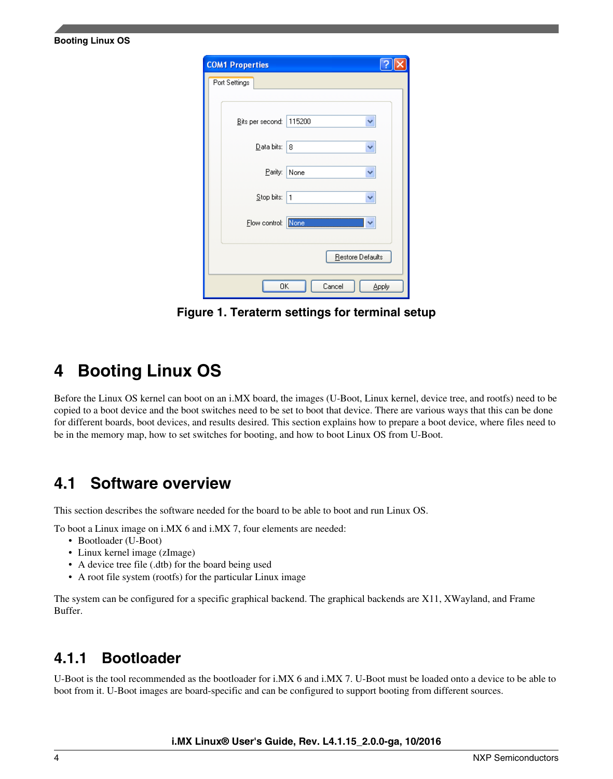| <b>COM1 Properties</b> |                  |
|------------------------|------------------|
| Port Settings          |                  |
|                        |                  |
| Bits per second:       | 115200           |
| Data bits:             | 8                |
| Parity:                | None             |
|                        |                  |
| Stop bits:             | 1                |
| Flow control:          | None             |
|                        | Restore Defaults |
|                        |                  |
| OK                     | Cancel<br>Apply  |

**Figure 1. Teraterm settings for terminal setup**

<span id="page-3-0"></span>**Booting Linux OS**

Before the Linux OS kernel can boot on an i.MX board, the images (U-Boot, Linux kernel, device tree, and rootfs) need to be copied to a boot device and the boot switches need to be set to boot that device. There are various ways that this can be done for different boards, boot devices, and results desired. This section explains how to prepare a boot device, where files need to be in the memory map, how to set switches for booting, and how to boot Linux OS from U-Boot.

## **4.1 Software overview**

This section describes the software needed for the board to be able to boot and run Linux OS.

To boot a Linux image on i.MX 6 and i.MX 7, four elements are needed:

- Bootloader (U-Boot)
- Linux kernel image (zImage)
- A device tree file (.dtb) for the board being used
- A root file system (rootfs) for the particular Linux image

The system can be configured for a specific graphical backend. The graphical backends are X11, XWayland, and Frame Buffer.

### **4.1.1 Bootloader**

U-Boot is the tool recommended as the bootloader for i.MX 6 and i.MX 7. U-Boot must be loaded onto a device to be able to boot from it. U-Boot images are board-specific and can be configured to support booting from different sources.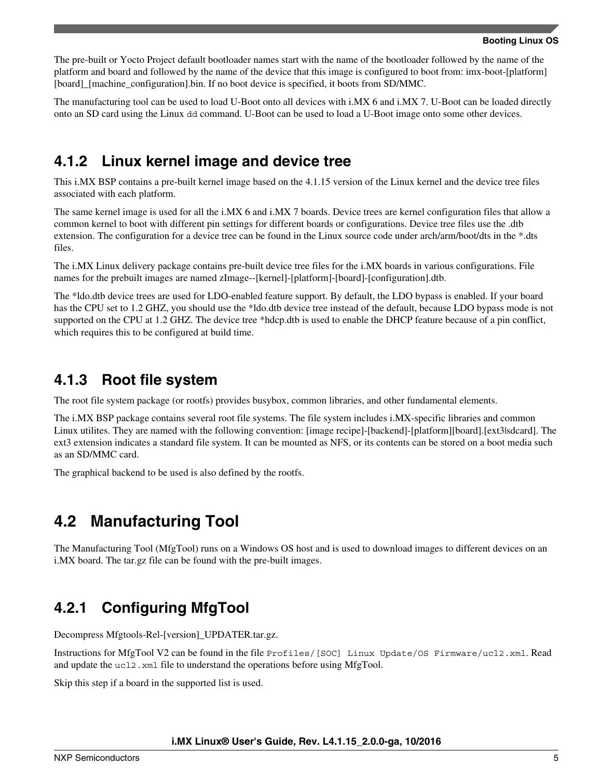The pre-built or Yocto Project default bootloader names start with the name of the bootloader followed by the name of the platform and board and followed by the name of the device that this image is configured to boot from: imx-boot-[platform] [board]\_[machine\_configuration].bin. If no boot device is specified, it boots from SD/MMC.

The manufacturing tool can be used to load U-Boot onto all devices with i.MX 6 and i.MX 7. U-Boot can be loaded directly onto an SD card using the Linux dd command. U-Boot can be used to load a U-Boot image onto some other devices.

### **4.1.2 Linux kernel image and device tree**

This i.MX BSP contains a pre-built kernel image based on the 4.1.15 version of the Linux kernel and the device tree files associated with each platform.

The same kernel image is used for all the i.MX 6 and i.MX 7 boards. Device trees are kernel configuration files that allow a common kernel to boot with different pin settings for different boards or configurations. Device tree files use the .dtb extension. The configuration for a device tree can be found in the Linux source code under arch/arm/boot/dts in the \*.dts files.

The i.MX Linux delivery package contains pre-built device tree files for the i.MX boards in various configurations. File names for the prebuilt images are named zImage--[kernel]-[platform]-[board]-[configuration].dtb.

The \*ldo.dtb device trees are used for LDO-enabled feature support. By default, the LDO bypass is enabled. If your board has the CPU set to 1.2 GHZ, you should use the \*ldo.dtb device tree instead of the default, because LDO bypass mode is not supported on the CPU at 1.2 GHZ. The device tree \*hdcp.dtb is used to enable the DHCP feature because of a pin conflict, which requires this to be configured at build time.

### **4.1.3 Root file system**

The root file system package (or rootfs) provides busybox, common libraries, and other fundamental elements.

The i.MX BSP package contains several root file systems. The file system includes i.MX-specific libraries and common Linux utilites. They are named with the following convention: [image recipe]-[backend]-[platform][board].[ext3|sdcard]. The ext3 extension indicates a standard file system. It can be mounted as NFS, or its contents can be stored on a boot media such as an SD/MMC card.

The graphical backend to be used is also defined by the rootfs.

## **4.2 Manufacturing Tool**

The Manufacturing Tool (MfgTool) runs on a Windows OS host and is used to download images to different devices on an i.MX board. The tar.gz file can be found with the pre-built images.

## **4.2.1 Configuring MfgTool**

Decompress Mfgtools-Rel-[version]\_UPDATER.tar.gz.

Instructions for MfgTool V2 can be found in the file Profiles/[SOC] Linux Update/OS Firmware/ucl2.xml. Read and update the  $uc12$ .  $xml$  file to understand the operations before using MfgTool.

Skip this step if a board in the supported list is used.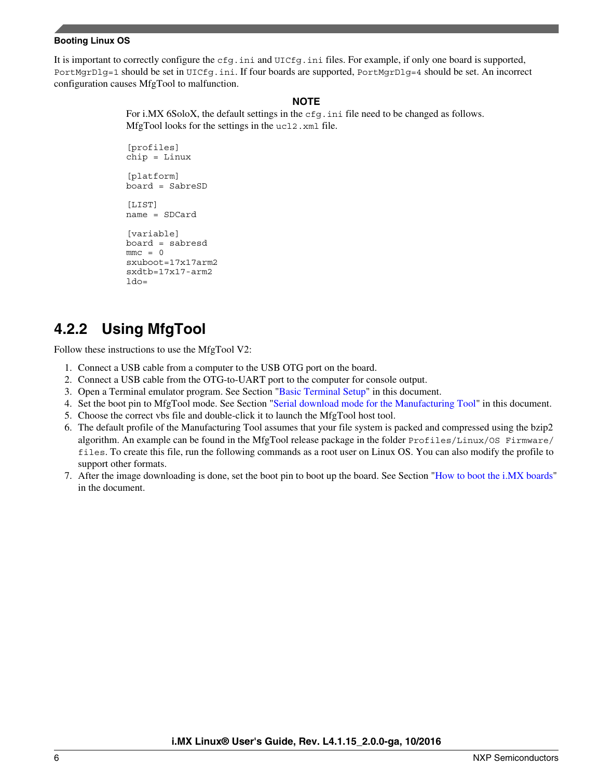It is important to correctly configure the cfg.ini and UICfg.ini files. For example, if only one board is supported, PortMgrDlg=1 should be set in UICfg.ini. If four boards are supported, PortMgrDlg=4 should be set. An incorrect configuration causes MfgTool to malfunction.

#### **NOTE**

For i.MX 6SoloX, the default settings in the cfg.ini file need to be changed as follows. MfgTool looks for the settings in the ucl2.xml file.

[profiles] chip = Linux [platform] board = SabreSD [LIST] name = SDCard [variable] board = sabresd  $mmc = 0$ sxuboot=17x17arm2 sxdtb=17x17-arm2  $1d0=$ 

## **4.2.2 Using MfgTool**

Follow these instructions to use the MfgTool V2:

- 1. Connect a USB cable from a computer to the USB OTG port on the board.
- 2. Connect a USB cable from the OTG-to-UART port to the computer for console output.
- 3. Open a Terminal emulator program. See Section "[Basic Terminal Setup](#page-2-0)" in this document.
- 4. Set the boot pin to MfgTool mode. See Section ["Serial download mode for the Manufacturing Tool](#page-23-0)" in this document.
- 5. Choose the correct vbs file and double-click it to launch the MfgTool host tool.
- 6. The default profile of the Manufacturing Tool assumes that your file system is packed and compressed using the bzip2 algorithm. An example can be found in the MfgTool release package in the folder Profiles/Linux/OS Firmware/ files. To create this file, run the following commands as a root user on Linux OS. You can also modify the profile to support other formats.
- 7. After the image downloading is done, set the boot pin to boot up the board. See Section "[How to boot the i.MX boards](#page-17-0)" in the document.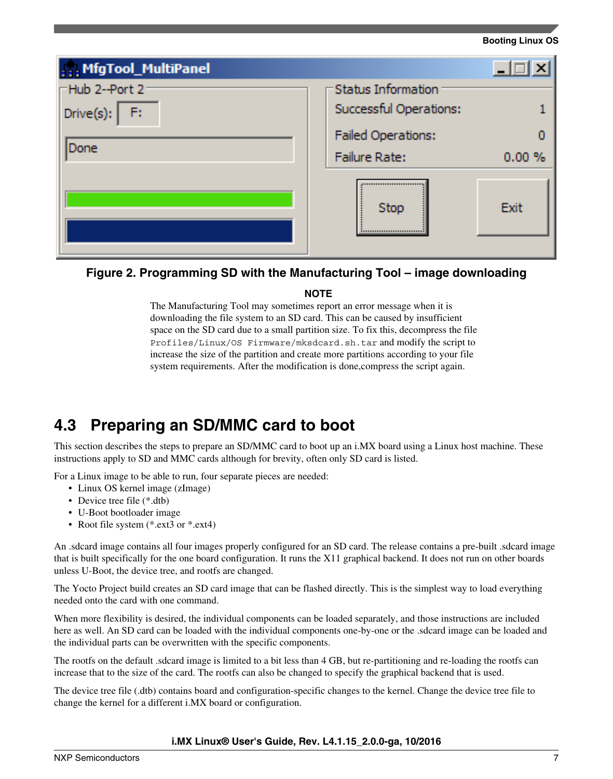<span id="page-6-0"></span>

| , MfgTool_MultiPanel |                           | $\left(\mathbf{x}\right)$ |
|----------------------|---------------------------|---------------------------|
| -Hub 2--Port 2-      | Status Information        |                           |
| Drive(s): $F:$       | Successful Operations:    |                           |
|                      | <b>Failed Operations:</b> |                           |
| Done                 | Failure Rate:             | $0.00 \%$                 |
|                      | Stop                      | Exit                      |

### **Figure 2. Programming SD with the Manufacturing Tool – image downloading**

### **NOTE**

The Manufacturing Tool may sometimes report an error message when it is downloading the file system to an SD card. This can be caused by insufficient space on the SD card due to a small partition size. To fix this, decompress the file Profiles/Linux/OS Firmware/mksdcard.sh.tar and modify the script to increase the size of the partition and create more partitions according to your file system requirements. After the modification is done, compress the script again.

## **4.3 Preparing an SD/MMC card to boot**

This section describes the steps to prepare an SD/MMC card to boot up an i.MX board using a Linux host machine. These instructions apply to SD and MMC cards although for brevity, often only SD card is listed.

For a Linux image to be able to run, four separate pieces are needed:

- Linux OS kernel image (zImage)
- Device tree file (\*.dtb)
- U-Boot bootloader image
- Root file system (\*.ext3 or \*.ext4)

An .sdcard image contains all four images properly configured for an SD card. The release contains a pre-built .sdcard image that is built specifically for the one board configuration. It runs the X11 graphical backend. It does not run on other boards unless U-Boot, the device tree, and rootfs are changed.

The Yocto Project build creates an SD card image that can be flashed directly. This is the simplest way to load everything needed onto the card with one command.

When more flexibility is desired, the individual components can be loaded separately, and those instructions are included here as well. An SD card can be loaded with the individual components one-by-one or the .sdcard image can be loaded and the individual parts can be overwritten with the specific components.

The rootfs on the default .sdcard image is limited to a bit less than 4 GB, but re-partitioning and re-loading the rootfs can increase that to the size of the card. The rootfs can also be changed to specify the graphical backend that is used.

The device tree file (.dtb) contains board and configuration-specific changes to the kernel. Change the device tree file to change the kernel for a different i.MX board or configuration.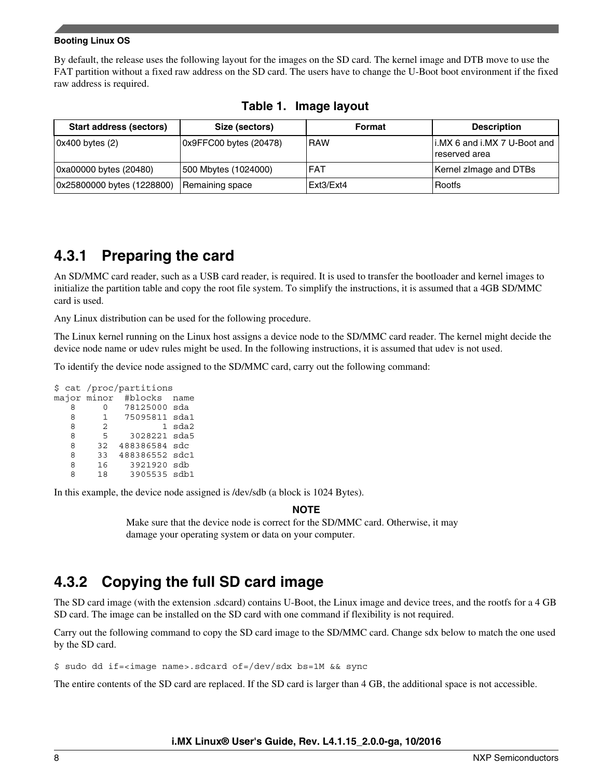By default, the release uses the following layout for the images on the SD card. The kernel image and DTB move to use the FAT partition without a fixed raw address on the SD card. The users have to change the U-Boot boot environment if the fixed raw address is required.

| Start address (sectors)    | Size (sectors)         | Format     | <b>Description</b>                             |
|----------------------------|------------------------|------------|------------------------------------------------|
| 0x400 bytes (2)            | 0x9FFC00 bytes (20478) | <b>RAW</b> | I.MX 6 and i.MX 7 U-Boot and<br>'reserved area |
| Oxa00000 bytes (20480)     | 500 Mbytes (1024000)   | <b>FAT</b> | Kernel zimage and DTBs                         |
| 0x25800000 bytes (1228800) | Remaining space        | Ext3/Ext4  | Rootfs                                         |

**Table 1. Image layout**

### **4.3.1 Preparing the card**

An SD/MMC card reader, such as a USB card reader, is required. It is used to transfer the bootloader and kernel images to initialize the partition table and copy the root file system. To simplify the instructions, it is assumed that a 4GB SD/MMC card is used.

Any Linux distribution can be used for the following procedure.

The Linux kernel running on the Linux host assigns a device node to the SD/MMC card reader. The kernel might decide the device node name or udev rules might be used. In the following instructions, it is assumed that udev is not used.

To identify the device node assigned to the SD/MMC card, carry out the following command:

|   |  |              | \$ cat /proc/partitions |  |          |  |  |  |  |  |  |
|---|--|--------------|-------------------------|--|----------|--|--|--|--|--|--|
|   |  | major minor  | #blocks name            |  |          |  |  |  |  |  |  |
| 8 |  | O            | 78125000 sda            |  |          |  |  |  |  |  |  |
| 8 |  | $\mathbf{1}$ | 75095811 sda1           |  |          |  |  |  |  |  |  |
| 8 |  | 2            |                         |  | $1$ sda2 |  |  |  |  |  |  |
| 8 |  | 5            | 3028221 sda5            |  |          |  |  |  |  |  |  |
| R |  | 32           | 488386584 sdc           |  |          |  |  |  |  |  |  |
| 8 |  | 33           | 488386552 sdc1          |  |          |  |  |  |  |  |  |
| 8 |  | 16           | 3921920 sdb             |  |          |  |  |  |  |  |  |
| я |  | 18           | 3905535 sdb1            |  |          |  |  |  |  |  |  |

In this example, the device node assigned is /dev/sdb (a block is 1024 Bytes).

### **NOTE**

Make sure that the device node is correct for the SD/MMC card. Otherwise, it may damage your operating system or data on your computer.

## **4.3.2 Copying the full SD card image**

The SD card image (with the extension .sdcard) contains U-Boot, the Linux image and device trees, and the rootfs for a 4 GB SD card. The image can be installed on the SD card with one command if flexibility is not required.

Carry out the following command to copy the SD card image to the SD/MMC card. Change sdx below to match the one used by the SD card.

\$ sudo dd if=<image name>.sdcard of=/dev/sdx bs=1M && sync

The entire contents of the SD card are replaced. If the SD card is larger than 4 GB, the additional space is not accessible.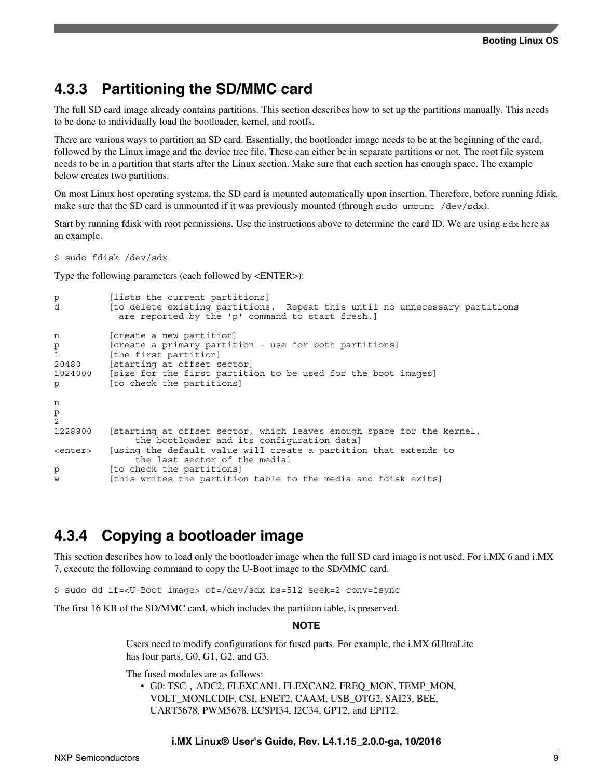### **4.3.3 Partitioning the SD/MMC card**

The full SD card image already contains partitions. This section describes how to set up the partitions manually. This needs to be done to individually load the bootloader, kernel, and rootfs.

There are various ways to partition an SD card. Essentially, the bootloader image needs to be at the beginning of the card, followed by the Linux image and the device tree file. These can either be in separate partitions or not. The root file system needs to be in a partition that starts after the Linux section. Make sure that each section has enough space. The example below creates two partitions.

On most Linux host operating systems, the SD card is mounted automatically upon insertion. Therefore, before running fdisk, make sure that the SD card is unmounted if it was previously mounted (through sudo umount /dev/sdx).

Start by running fdisk with root permissions. Use the instructions above to determine the card ID. We are using sdx here as an example.

\$ sudo fdisk /dev/sdx

Type the following parameters (each followed by <ENTER>):

```
p [lists the current partitions]<br>d [to delete existing partitions]
          [to delete existing partitions. Repeat this until no unnecessary partitions
             are reported by the 'p' command to start fresh.]
n [create a new partition]
p [create a primary partition - use for both partitions]
1 [the first partition]<br>20480 [starting at offset s
          [starting at offset sector]
1024000 [size for the first partition to be used for the boot images]
p [to check the partitions]
n
p
2
1228800 [starting at offset sector, which leaves enough space for the kernel, 
                the bootloader and its configuration data]
<enter> [using the default value will create a partition that extends to 
                the last sector of the media]
p [to check the partitions]
w [this writes the partition table to the media and fdisk exits]
```
### **4.3.4 Copying a bootloader image**

This section describes how to load only the bootloader image when the full SD card image is not used. For i.MX 6 and i.MX 7, execute the following command to copy the U-Boot image to the SD/MMC card.

\$ sudo dd if=<U-Boot image> of=/dev/sdx bs=512 seek=2 conv=fsync

The first 16 KB of the SD/MMC card, which includes the partition table, is preserved.

#### **NOTE**

Users need to modify configurations for fused parts. For example, the i.MX 6UltraLite has four parts, G0, G1, G2, and G3.

The fused modules are as follows:

• G0: TSC, ADC2, FLEXCAN1, FLEXCAN2, FREQ\_MON, TEMP\_MON, VOLT\_MONLCDIF, CSI, ENET2, CAAM, USB\_OTG2, SAI23, BEE, UART5678, PWM5678, ECSPI34, I2C34, GPT2, and EPIT2.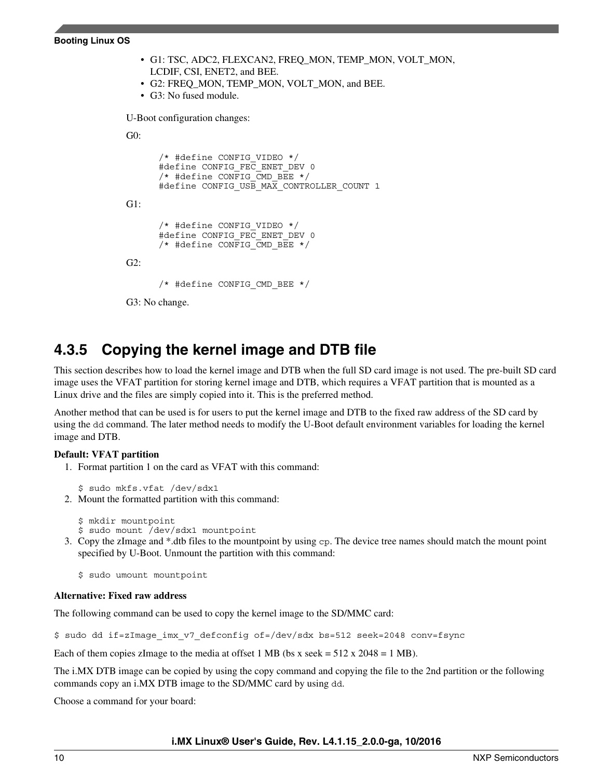• G1: TSC, ADC2, FLEXCAN2, FREQ\_MON, TEMP\_MON, VOLT\_MON, LCDIF, CSI, ENET2, and BEE. • G2: FREQ\_MON, TEMP\_MON, VOLT\_MON, and BEE. • G3: No fused module.

U-Boot configuration changes:

```
G0:
```

```
 /* #define CONFIG_VIDEO */
       #define CONFIG_FEC_ENET_DEV 0
       /* #define CONFIG \overline{C}MD BEE */
      #define CONFIG USB MAX CONTROLLER COUNT 1
G1:
       /* #define CONFIG_VIDEO */
       #define CONFIG_FEC_ENET_DEV 0
      /* #define CONFIG CMD BEE */
G2:
       /* #define CONFIG_CMD_BEE */
```
G3: No change.

### **4.3.5 Copying the kernel image and DTB file**

This section describes how to load the kernel image and DTB when the full SD card image is not used. The pre-built SD card image uses the VFAT partition for storing kernel image and DTB, which requires a VFAT partition that is mounted as a Linux drive and the files are simply copied into it. This is the preferred method.

Another method that can be used is for users to put the kernel image and DTB to the fixed raw address of the SD card by using the dd command. The later method needs to modify the U-Boot default environment variables for loading the kernel image and DTB.

#### **Default: VFAT partition**

1. Format partition 1 on the card as VFAT with this command:

\$ sudo mkfs.vfat /dev/sdx1

2. Mount the formatted partition with this command:

```
$ mkdir mountpoint
```
- \$ sudo mount /dev/sdx1 mountpoint
- 3. Copy the zImage and \*.dtb files to the mountpoint by using cp. The device tree names should match the mount point specified by U-Boot. Unmount the partition with this command:

\$ sudo umount mountpoint

### **Alternative: Fixed raw address**

The following command can be used to copy the kernel image to the SD/MMC card:

\$ sudo dd if=zImage\_imx\_v7\_defconfig of=/dev/sdx bs=512 seek=2048 conv=fsync

Each of them copies zImage to the media at offset 1 MB (bs x seek =  $512 \times 2048 = 1$  MB).

The i.MX DTB image can be copied by using the copy command and copying the file to the 2nd partition or the following commands copy an i.MX DTB image to the SD/MMC card by using dd.

Choose a command for your board: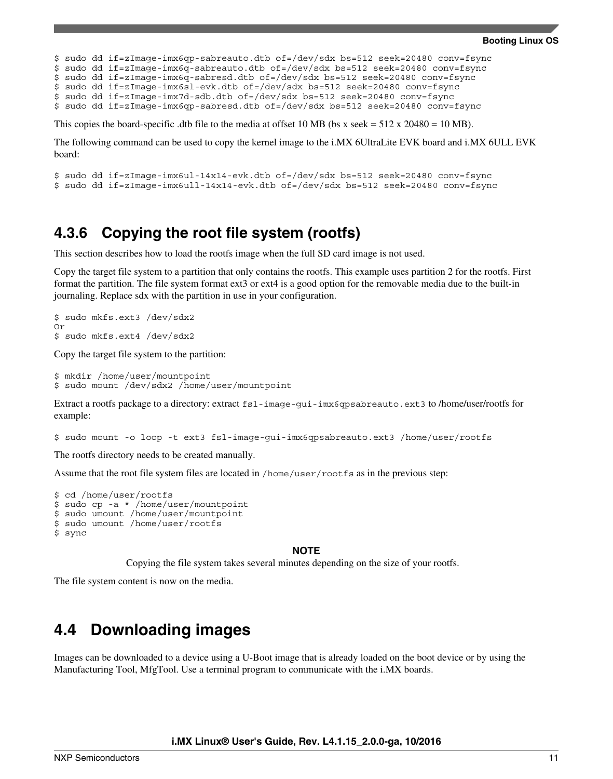```
$ sudo dd if=zImage-imx6qp-sabreauto.dtb of=/dev/sdx bs=512 seek=20480 conv=fsync
$ sudo dd if=zImage-imx6q-sabreauto.dtb of=/dev/sdx bs=512 seek=20480 conv=fsync
$ sudo dd if=zImage-imx6q-sabresd.dtb of=/dev/sdx bs=512 seek=20480 conv=fsync
$ sudo dd if=zImage-imx6sl-evk.dtb of=/dev/sdx bs=512 seek=20480 conv=fsync
$ sudo dd if=zImage-imx7d-sdb.dtb of=/dev/sdx bs=512 seek=20480 conv=fsync
$ sudo dd if=zImage-imx6qp-sabresd.dtb of=/dev/sdx bs=512 seek=20480 conv=fsync
```
This copies the board-specific .dtb file to the media at offset 10 MB (bs x seek =  $512 \times 20480 = 10 \text{ MB}$ ).

The following command can be used to copy the kernel image to the i.MX 6UltraLite EVK board and i.MX 6ULL EVK board:

```
$ sudo dd if=zImage-imx6ul-14x14-evk.dtb of=/dev/sdx bs=512 seek=20480 conv=fsync
$ sudo dd if=zImage-imx6ull-14x14-evk.dtb of=/dev/sdx bs=512 seek=20480 conv=fsync
```
### **4.3.6 Copying the root file system (rootfs)**

This section describes how to load the rootfs image when the full SD card image is not used.

Copy the target file system to a partition that only contains the rootfs. This example uses partition 2 for the rootfs. First format the partition. The file system format ext3 or ext4 is a good option for the removable media due to the built-in journaling. Replace sdx with the partition in use in your configuration.

```
$ sudo mkfs.ext3 /dev/sdx2
Or
$ sudo mkfs.ext4 /dev/sdx2
```
Copy the target file system to the partition:

```
$ mkdir /home/user/mountpoint 
$ sudo mount /dev/sdx2 /home/user/mountpoint
```
Extract a rootfs package to a directory: extract fsl-image-gui-imx6qpsabreauto.ext3 to /home/user/rootfs for example:

\$ sudo mount -o loop -t ext3 fsl-image-gui-imx6qpsabreauto.ext3 /home/user/rootfs

The rootfs directory needs to be created manually.

Assume that the root file system files are located in /home/user/rootfs as in the previous step:

```
$ cd /home/user/rootfs
$ sudo cp -a * /home/user/mountpoint
$ sudo umount /home/user/mountpoint
$ sudo umount /home/user/rootfs
$ sync
```
#### **NOTE**

Copying the file system takes several minutes depending on the size of your rootfs.

The file system content is now on the media.

### **4.4 Downloading images**

Images can be downloaded to a device using a U-Boot image that is already loaded on the boot device or by using the Manufacturing Tool, MfgTool. Use a terminal program to communicate with the i.MX boards.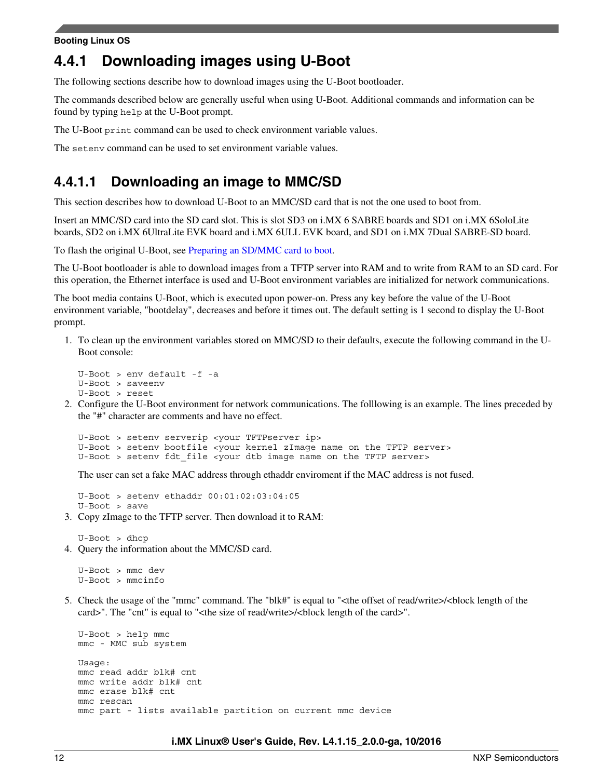### **4.4.1 Downloading images using U-Boot**

The following sections describe how to download images using the U-Boot bootloader.

The commands described below are generally useful when using U-Boot. Additional commands and information can be found by typing help at the U-Boot prompt.

The U-Boot print command can be used to check environment variable values.

The setenv command can be used to set environment variable values.

### **4.4.1.1 Downloading an image to MMC/SD**

This section describes how to download U-Boot to an MMC/SD card that is not the one used to boot from.

Insert an MMC/SD card into the SD card slot. This is slot SD3 on i.MX 6 SABRE boards and SD1 on i.MX 6SoloLite boards, SD2 on i.MX 6UltraLite EVK board and i.MX 6ULL EVK board, and SD1 on i.MX 7Dual SABRE-SD board.

To flash the original U-Boot, see [Preparing an SD/MMC card to boot.](#page-6-0)

The U-Boot bootloader is able to download images from a TFTP server into RAM and to write from RAM to an SD card. For this operation, the Ethernet interface is used and U-Boot environment variables are initialized for network communications.

The boot media contains U-Boot, which is executed upon power-on. Press any key before the value of the U-Boot environment variable, "bootdelay", decreases and before it times out. The default setting is 1 second to display the U-Boot prompt.

1. To clean up the environment variables stored on MMC/SD to their defaults, execute the following command in the U-Boot console:

```
U-Boot > env default -f -a 
U-Boot > saveenv
U-Boot > reset
```
2. Configure the U-Boot environment for network communications. The folllowing is an example. The lines preceded by the "#" character are comments and have no effect.

```
U-Boot > setenv serverip <your TFTPserver ip>
U-Boot > setenv bootfile <your kernel zImage name on the TFTP server>
U-Boot > setenv fdt file <your dtb image name on the TFTP server>
```
The user can set a fake MAC address through ethaddr enviroment if the MAC address is not fused.

U-Boot > setenv ethaddr 00:01:02:03:04:05 U-Boot > save

3. Copy zImage to the TFTP server. Then download it to RAM:

U-Boot > dhcp 4. Query the information about the MMC/SD card.

U-Boot > mmc dev U-Boot > mmcinfo

5. Check the usage of the "mmc" command. The "blk#" is equal to "<the offset of read/write>/<br/>block length of the card>". The "cnt" is equal to "<the size of read/write>/<block length of the card>".

```
U-Boot > help mmc
mmc - MMC sub system
Usage:
mmc read addr blk# cnt
mmc write addr blk# cnt
mmc erase blk# cnt
mmc rescan
mmc part - lists available partition on current mmc device
```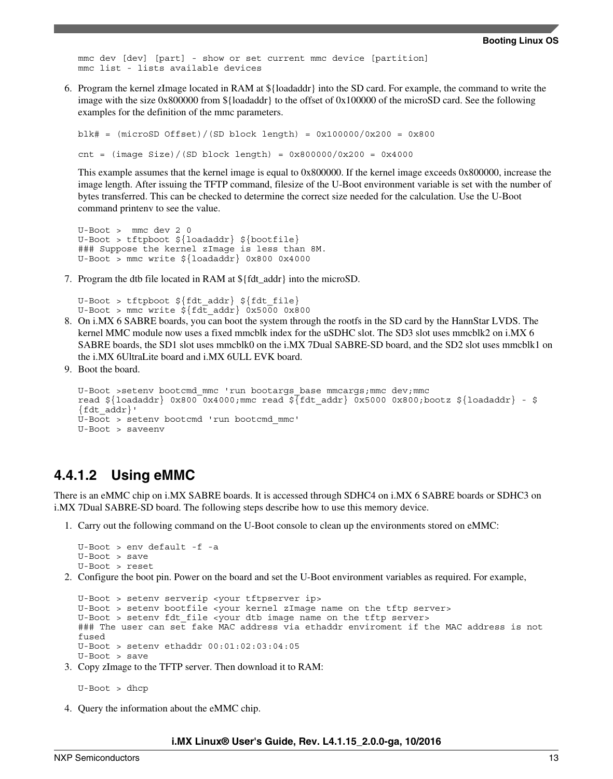mmc dev [dev] [part] - show or set current mmc device [partition] mmc list - lists available devices

6. Program the kernel zImage located in RAM at \${loadaddr} into the SD card. For example, the command to write the image with the size 0x800000 from \${loadaddr} to the offset of 0x100000 of the microSD card. See the following examples for the definition of the mmc parameters.

```
blk# = (microSD 0ffset) / (SD  block  length) = 0x100000/0x200 = 0x800cnt = (image Size)/(SD block length) = 0x800000/0x200 = 0x4000
```
This example assumes that the kernel image is equal to 0x800000. If the kernel image exceeds 0x800000, increase the image length. After issuing the TFTP command, filesize of the U-Boot environment variable is set with the number of bytes transferred. This can be checked to determine the correct size needed for the calculation. Use the U-Boot command printenv to see the value.

```
U-Boot > mmc dev 2 0
U-Boot > tftpboot ${loadaddr} ${bootfile}
### Suppose the kernel zImage is less than 8M.
U-Boot > mmc write ${loadaddr} 0x800 0x4000
```
7. Program the dtb file located in RAM at \${fdt\_addr} into the microSD.

U-Boot > tftpboot \${fdt addr} \${fdt file} U-Boot > mmc write  $\frac{1}{5}$   $\left\{\text{fdt} - \text{addr}\right\}$  0x5000 0x800

- 8. On i.MX 6 SABRE boards, you can boot the system through the rootfs in the SD card by the HannStar LVDS. The kernel MMC module now uses a fixed mmcblk index for the uSDHC slot. The SD3 slot uses mmcblk2 on i.MX 6 SABRE boards, the SD1 slot uses mmcblk0 on the i.MX 7Dual SABRE-SD board, and the SD2 slot uses mmcblk1 on the i.MX 6UltraLite board and i.MX 6ULL EVK board.
- 9. Boot the board.

```
U-Boot >setenv bootcmd_mmc 'run bootargs_base mmcargs;mmc dev;mmc
read ${loadaddr} 0x800 0x4000;mmc read ${ftdt$ addr} 0x5000 0x800;bootz ${loadaddr} - $
{fdt_addr}'
U-Boot > setenv bootcmd 'run bootcmd_mmc'
U-Boot > saveenv
```
### **4.4.1.2 Using eMMC**

There is an eMMC chip on i.MX SABRE boards. It is accessed through SDHC4 on i.MX 6 SABRE boards or SDHC3 on i.MX 7Dual SABRE-SD board. The following steps describe how to use this memory device.

1. Carry out the following command on the U-Boot console to clean up the environments stored on eMMC:

```
U-Boot > env default -f -a 
U-Boot > save
U-Boot > reset
```
2. Configure the boot pin. Power on the board and set the U-Boot environment variables as required. For example,

```
U-Boot > setenv serverip <your tftpserver ip>
U-Boot > setenv bootfile <your kernel zImage name on the tftp server>
U-Boot > setenv fdt_file <your dtb image name on the tftp server>
### The user can set fake MAC address via ethaddr enviroment if the MAC address is not 
fused
U-Boot > setenv ethaddr 00:01:02:03:04:05
U-Boot > save
```
3. Copy zImage to the TFTP server. Then download it to RAM:

U-Boot > dhcp

4. Query the information about the eMMC chip.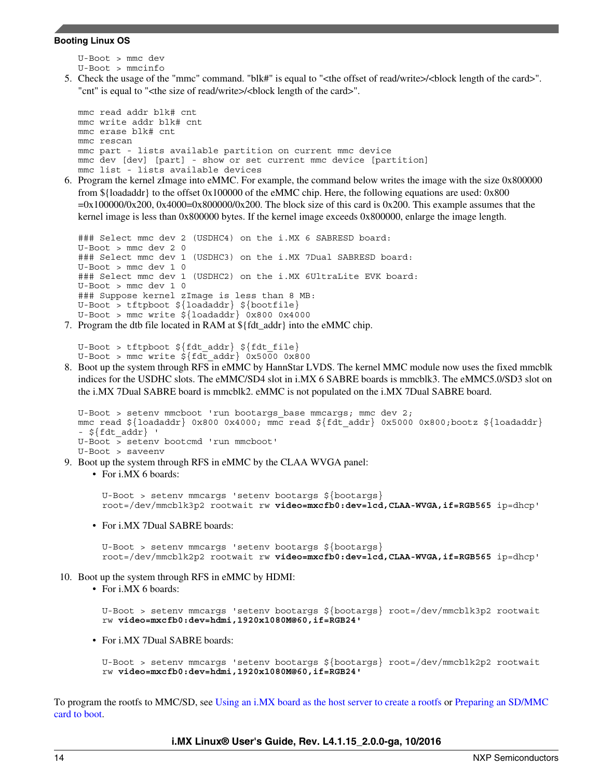```
U-Boot > mmc dev
U-Boot > mmcinfo
```
5. Check the usage of the "mmc" command. "blk#" is equal to "<the offset of read/write>/<br/>block length of the card>". "cnt" is equal to "<the size of read/write>/<br/>block length of the card>".

```
mmc read addr blk# cnt
mmc write addr blk# cnt
mmc erase blk# cnt
mmc rescan
mmc part - lists available partition on current mmc device
mmc dev [dev] [part] - show or set current mmc device [partition]
mmc list - lists available devices
```
6. Program the kernel zImage into eMMC. For example, the command below writes the image with the size 0x800000 from \${loadaddr} to the offset 0x100000 of the eMMC chip. Here, the following equations are used: 0x800  $=0x1000000x200$ ,  $0x4000=0x8000000x200$ . The block size of this card is 0x200. This example assumes that the kernel image is less than 0x800000 bytes. If the kernel image exceeds 0x800000, enlarge the image length.

```
### Select mmc dev 2 (USDHC4) on the i.MX 6 SABRESD board:
U-Boot > mmc dev 2 0
### Select mmc dev 1 (USDHC3) on the i.MX 7Dual SABRESD board:
U-Boot > mmc dev 1 0
### Select mmc dev 1 (USDHC2) on the i.MX 6UltraLite EVK board:
U-Boot > mmc dev 1 0
### Suppose kernel zImage is less than 8 MB:
U-Boot > tftpboot ${loadaddr} ${bootfile}
U-Boot > mmc write \frac{1}{2}[loadaddr] 0x800 0x4000
```
7. Program the dtb file located in RAM at \${fdt\_addr} into the eMMC chip.

```
U-Boot > tftpboot ${fdt_addr} ${fdt_file}
U-Boot > mmc write \frac{2}{5} \left\{\text{fdt} - \text{addr}\right\} 0x5000 0x800
```
8. Boot up the system through RFS in eMMC by HannStar LVDS. The kernel MMC module now uses the fixed mmcblk indices for the USDHC slots. The eMMC/SD4 slot in i.MX 6 SABRE boards is mmcblk3. The eMMC5.0/SD3 slot on the i.MX 7Dual SABRE board is mmcblk2. eMMC is not populated on the i.MX 7Dual SABRE board.

```
U-Boot > seteny mmcboot 'run bootargs base mmcargs; mmc dev 2;
mmc read ${loadaddr} 0x800 0x4000; mmc read ${fdt_addr} 0x5000 0x800;bootz ${loadaddr} 
- ${fdt addr} '
U-Boot > setenv bootcmd 'run mmcboot'
U-Boot > saveenv
```
9. Boot up the system through RFS in eMMC by the CLAA WVGA panel:

```
• For i.MX 6 boards:
```
U-Boot > setenv mmcargs 'setenv bootargs \${bootargs} root=/dev/mmcblk3p2 rootwait rw **video=mxcfb0:dev=lcd,CLAA-WVGA,if=RGB565** ip=dhcp'

• For i.MX 7Dual SABRE boards:

U-Boot > setenv mmcargs 'setenv bootargs \${bootargs} root=/dev/mmcblk2p2 rootwait rw **video=mxcfb0:dev=lcd,CLAA-WVGA,if=RGB565** ip=dhcp'

- 10. Boot up the system through RFS in eMMC by HDMI:
	- For i.MX 6 boards:

```
U-Boot > setenv mmcargs 'setenv bootargs ${bootargs} root=/dev/mmcblk3p2 rootwait 
rw video=mxcfb0:dev=hdmi,1920x1080M@60,if=RGB24'
```
• For i.MX 7Dual SABRE boards:

```
U-Boot > setenv mmcargs 'setenv bootargs ${bootargs} root=/dev/mmcblk2p2 rootwait 
rw video=mxcfb0:dev=hdmi,1920x1080M@60,if=RGB24'
```
To program the rootfs to MMC/SD, see [Using an i.MX board as the host server to create a rootfs](#page-15-0) or [Preparing an SD/MMC](#page-6-0) [card to boot.](#page-6-0)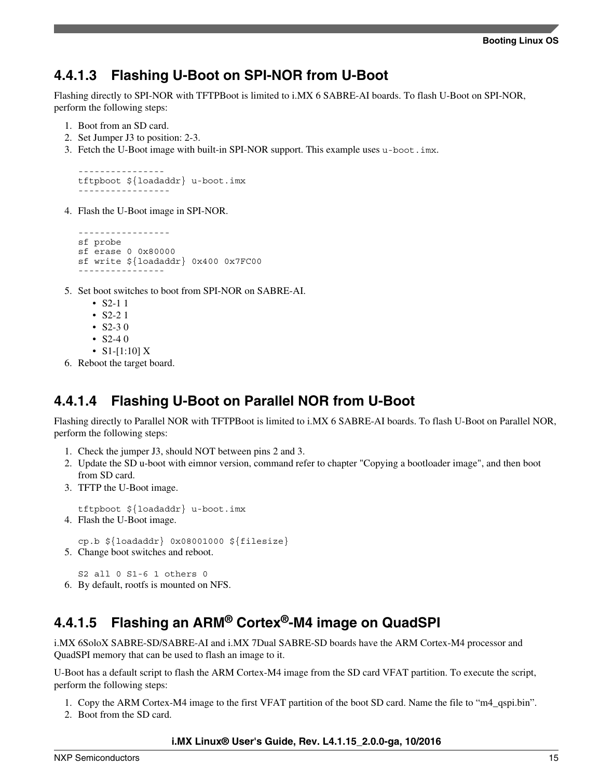### **4.4.1.3 Flashing U-Boot on SPI-NOR from U-Boot**

Flashing directly to SPI-NOR with TFTPBoot is limited to i.MX 6 SABRE-AI boards. To flash U-Boot on SPI-NOR, perform the following steps:

- 1. Boot from an SD card.
- 2. Set Jumper J3 to position: 2-3.
- 3. Fetch the U-Boot image with built-in SPI-NOR support. This example uses u-boot.imx.

```
----------------
tftpboot ${loadaddr} u-boot.imx
-----------------
```
4. Flash the U-Boot image in SPI-NOR.

```
-----------------
sf probe 
sf erase 0 0x80000
sf write ${loadaddr} 0x400 0x7FC00
----------------
```
- 5. Set boot switches to boot from SPI-NOR on SABRE-AI.
	- $S2-11$
	- $S2-21$
	- $S2-30$
	- S2-4 0
	- S1-[1:10] X
- 6. Reboot the target board.

### **4.4.1.4 Flashing U-Boot on Parallel NOR from U-Boot**

Flashing directly to Parallel NOR with TFTPBoot is limited to i.MX 6 SABRE-AI boards. To flash U-Boot on Parallel NOR, perform the following steps:

- 1. Check the jumper J3, should NOT between pins 2 and 3.
- 2. Update the SD u-boot with eimnor version, command refer to chapter "Copying a bootloader image", and then boot from SD card.
- 3. TFTP the U-Boot image.

```
tftpboot ${loadaddr} u-boot.imx
```
4. Flash the U-Boot image.

cp.b \${loadaddr} 0x08001000 \${filesize}

5. Change boot switches and reboot.

S2 all 0 S1-6 1 others 0 6. By default, rootfs is mounted on NFS.

### **4.4.1.5 Flashing an ARM® Cortex®-M4 image on QuadSPI**

i.MX 6SoloX SABRE-SD/SABRE-AI and i.MX 7Dual SABRE-SD boards have the ARM Cortex-M4 processor and QuadSPI memory that can be used to flash an image to it.

U-Boot has a default script to flash the ARM Cortex-M4 image from the SD card VFAT partition. To execute the script, perform the following steps:

- 1. Copy the ARM Cortex-M4 image to the first VFAT partition of the boot SD card. Name the file to "m4\_qspi.bin".
- 2. Boot from the SD card.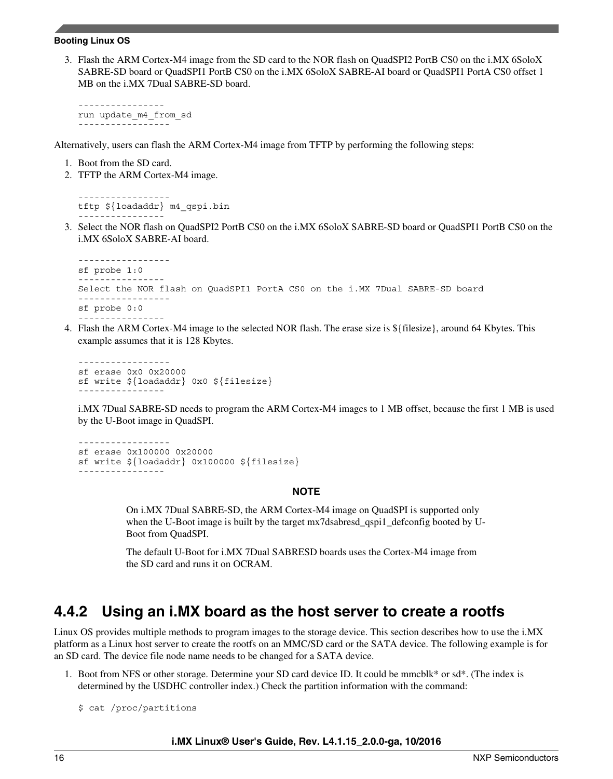<span id="page-15-0"></span>3. Flash the ARM Cortex-M4 image from the SD card to the NOR flash on QuadSPI2 PortB CS0 on the i.MX 6SoloX SABRE-SD board or QuadSPI1 PortB CS0 on the i.MX 6SoloX SABRE-AI board or QuadSPI1 PortA CS0 offset 1 MB on the i.MX 7Dual SABRE-SD board.

--------------- run update\_m4\_from\_sd -----------------

Alternatively, users can flash the ARM Cortex-M4 image from TFTP by performing the following steps:

- 1. Boot from the SD card.
- 2. TFTP the ARM Cortex-M4 image.

```
-----------------
tftp ${loadaddr} m4_qspi.bin
----------------
```
3. Select the NOR flash on QuadSPI2 PortB CS0 on the i.MX 6SoloX SABRE-SD board or QuadSPI1 PortB CS0 on the i.MX 6SoloX SABRE-AI board.

```
-----------------
sf probe 1:0
    ----------------
Select the NOR flash on QuadSPI1 PortA CS0 on the i.MX 7Dual SABRE-SD board
-----------------
sf probe 0:0
----------------
```
4. Flash the ARM Cortex-M4 image to the selected NOR flash. The erase size is \${filesize}, around 64 Kbytes. This example assumes that it is 128 Kbytes.

```
-----------------
sf erase 0x0 0x20000
sf write ${loadaddr} 0x0 ${filesize}
----------------
```
i.MX 7Dual SABRE-SD needs to program the ARM Cortex-M4 images to 1 MB offset, because the first 1 MB is used by the U-Boot image in QuadSPI.

```
-----------------
sf erase 0x100000 0x20000
sf write ${loadaddr} 0x100000 ${filesize}
----------------
```
#### **NOTE**

On i.MX 7Dual SABRE-SD, the ARM Cortex-M4 image on QuadSPI is supported only when the U-Boot image is built by the target mx7dsabresd qspi1\_defconfig booted by U-Boot from QuadSPI.

The default U-Boot for i.MX 7Dual SABRESD boards uses the Cortex-M4 image from the SD card and runs it on OCRAM.

## **4.4.2 Using an i.MX board as the host server to create a rootfs**

Linux OS provides multiple methods to program images to the storage device. This section describes how to use the i.MX platform as a Linux host server to create the rootfs on an MMC/SD card or the SATA device. The following example is for an SD card. The device file node name needs to be changed for a SATA device.

- 1. Boot from NFS or other storage. Determine your SD card device ID. It could be mmcblk\* or sd\*. (The index is determined by the USDHC controller index.) Check the partition information with the command:
	- \$ cat /proc/partitions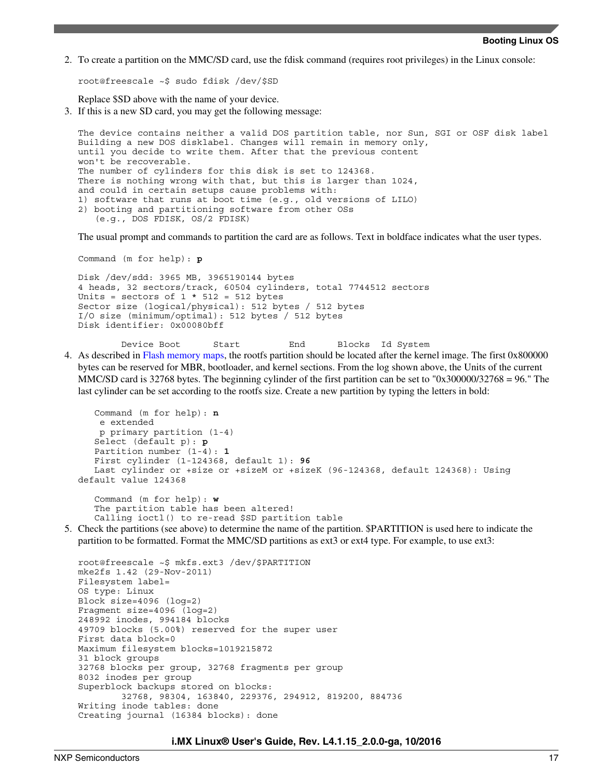2. To create a partition on the MMC/SD card, use the fdisk command (requires root privileges) in the Linux console:

root@freescale ~\$ sudo fdisk /dev/\$SD

Replace \$SD above with the name of your device.

3. If this is a new SD card, you may get the following message:

The device contains neither a valid DOS partition table, nor Sun, SGI or OSF disk label Building a new DOS disklabel. Changes will remain in memory only, until you decide to write them. After that the previous content won't be recoverable. The number of cylinders for this disk is set to 124368. There is nothing wrong with that, but this is larger than 1024, and could in certain setups cause problems with: 1) software that runs at boot time (e.g., old versions of LILO) 2) booting and partitioning software from other OSs (e.g., DOS FDISK, OS/2 FDISK)

The usual prompt and commands to partition the card are as follows. Text in boldface indicates what the user types.

Command (m for help): **p**

```
Disk /dev/sdd: 3965 MB, 3965190144 bytes
4 heads, 32 sectors/track, 60504 cylinders, total 7744512 sectors
Units = sectors of 1 * 512 = 512 bytes
Sector size (logical/physical): 512 bytes / 512 bytes
I/O size (minimum/optimal): 512 bytes / 512 bytes
Disk identifier: 0x00080bff
```
- Device Boot Start End Blocks Id System 4. As described in [Flash memory maps,](#page-24-0) the rootfs partition should be located after the kernel image. The first 0x800000
	- bytes can be reserved for MBR, bootloader, and kernel sections. From the log shown above, the Units of the current MMC/SD card is 32768 bytes. The beginning cylinder of the first partition can be set to "0x300000/32768 = 96." The last cylinder can be set according to the rootfs size. Create a new partition by typing the letters in bold:

```
 Command (m for help): n
    e extended
    p primary partition (1-4)
    Select (default p): p
    Partition number (1-4): 1
    First cylinder (1-124368, default 1): 96
   Last cylinder or +size or +sizeM or +sizeK (96-124368, default 124368): Using
default value 124368 
    Command (m for help): w
    The partition table has been altered!
```
Calling ioctl() to re-read \$SD partition table

5. Check the partitions (see above) to determine the name of the partition. \$PARTITION is used here to indicate the partition to be formatted. Format the MMC/SD partitions as ext3 or ext4 type. For example, to use ext3:

```
root@freescale ~$ mkfs.ext3 /dev/$PARTITION
mke2fs 1.42 (29-Nov-2011)
Filesystem label=
OS type: Linux
Block size=4096 (log=2)
Fragment size=4096 (log=2)
248992 inodes, 994184 blocks
49709 blocks (5.00%) reserved for the super user
First data block=0
Maximum filesystem blocks=1019215872
31 block groups
32768 blocks per group, 32768 fragments per group
8032 inodes per group
Superblock backups stored on blocks:
         32768, 98304, 163840, 229376, 294912, 819200, 884736
Writing inode tables: done
Creating journal (16384 blocks): done
```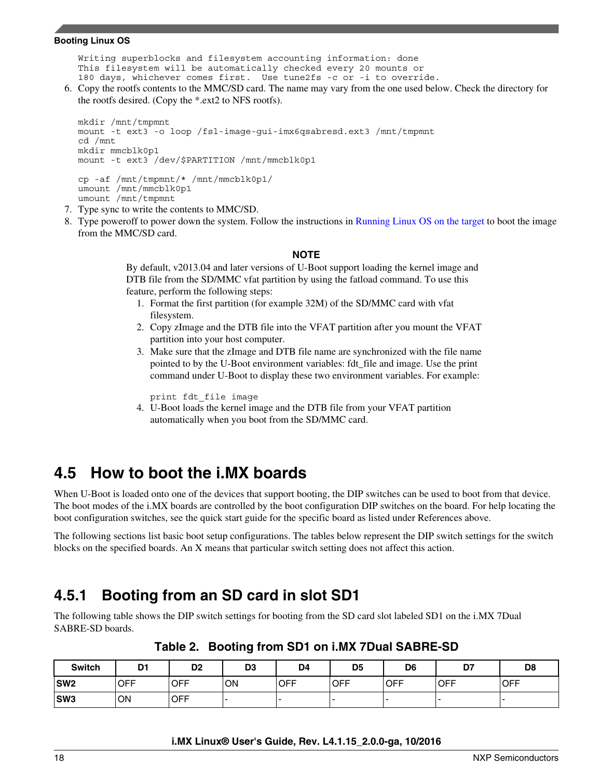<span id="page-17-0"></span>Writing superblocks and filesystem accounting information: done This filesystem will be automatically checked every 20 mounts or 180 days, whichever comes first. Use tune2fs -c or -i to override.

6. Copy the rootfs contents to the MMC/SD card. The name may vary from the one used below. Check the directory for the rootfs desired. (Copy the \*.ext2 to NFS rootfs).

```
mkdir /mnt/tmpmnt
mount -t ext3 -o loop /fsl-image-gui-imx6qsabresd.ext3 /mnt/tmpmnt
cd /mnt
mkdir mmcblk0p1
mount -t ext3 /dev/$PARTITION /mnt/mmcblk0p1
cp -af /mnt/tmpmnt/* /mnt/mmcblk0p1/
umount /mnt/mmcblk0p1
umount /mnt/tmpmnt
```
- 7. Type sync to write the contents to MMC/SD.
- 8. Type poweroff to power down the system. Follow the instructions in [Running Linux OS on the target](#page-26-0) to boot the image from the MMC/SD card.

#### **NOTE**

By default, v2013.04 and later versions of U-Boot support loading the kernel image and DTB file from the SD/MMC vfat partition by using the fatload command. To use this feature, perform the following steps:

- 1. Format the first partition (for example 32M) of the SD/MMC card with vfat filesystem.
- 2. Copy zImage and the DTB file into the VFAT partition after you mount the VFAT partition into your host computer.
- 3. Make sure that the zImage and DTB file name are synchronized with the file name pointed to by the U-Boot environment variables: fdt\_file and image. Use the print command under U-Boot to display these two environment variables. For example:

print fdt\_file image

4. U-Boot loads the kernel image and the DTB file from your VFAT partition automatically when you boot from the SD/MMC card.

### **4.5 How to boot the i.MX boards**

When U-Boot is loaded onto one of the devices that support booting, the DIP switches can be used to boot from that device. The boot modes of the i.MX boards are controlled by the boot configuration DIP switches on the board. For help locating the boot configuration switches, see the quick start guide for the specific board as listed under References above.

The following sections list basic boot setup configurations. The tables below represent the DIP switch settings for the switch blocks on the specified boards. An X means that particular switch setting does not affect this action.

### **4.5.1 Booting from an SD card in slot SD1**

The following table shows the DIP switch settings for booting from the SD card slot labeled SD1 on the i.MX 7Dual SABRE-SD boards.

| <b>Switch</b>   | D1          | D <sub>2</sub> | D <sub>3</sub> | D4         | D5          | D <sub>6</sub> | D7         | D <sub>8</sub> |
|-----------------|-------------|----------------|----------------|------------|-------------|----------------|------------|----------------|
| SW <sub>2</sub> | <b>IOFF</b> | <b>OFF</b>     | ON             | <b>OFF</b> | <b>IOFF</b> | <b>OFF</b>     | <b>OFF</b> | <b>OFF</b>     |
| SW <sub>3</sub> | ON          | <b>OFF</b>     |                |            |             |                |            | ۰              |

**Table 2. Booting from SD1 on i.MX 7Dual SABRE-SD**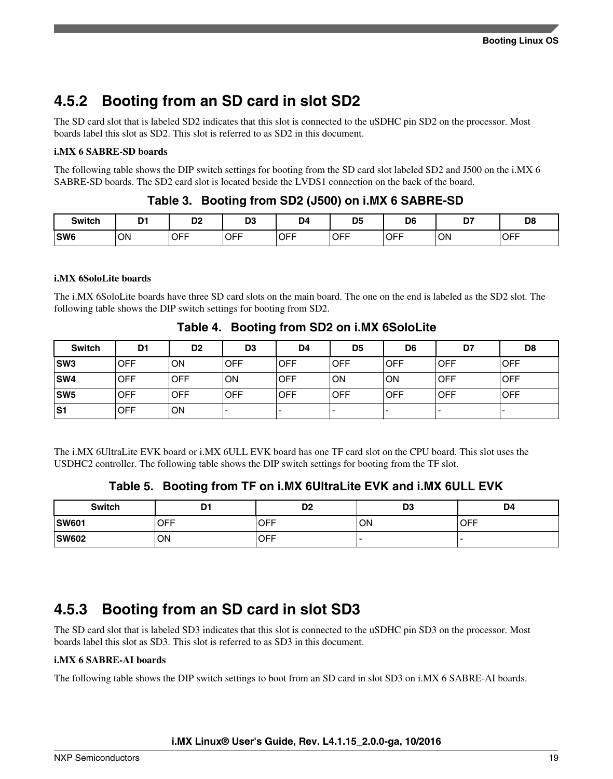### **4.5.2 Booting from an SD card in slot SD2**

The SD card slot that is labeled SD2 indicates that this slot is connected to the uSDHC pin SD2 on the processor. Most boards label this slot as SD2. This slot is referred to as SD2 in this document.

#### **i.MX 6 SABRE-SD boards**

The following table shows the DIP switch settings for booting from the SD card slot labeled SD2 and J500 on the i.MX 6 SABRE-SD boards. The SD2 card slot is located beside the LVDS1 connection on the back of the board.

### **Table 3. Booting from SD2 (J500) on i.MX 6 SABRE-SD**

| <b>Switch</b>   | D.<br>◡   | DC.<br>יש  | n <sub>o</sub><br>υJ<br>$\sim$ | D <sub>4</sub> | D <sub>5</sub><br>$\sim$ | D <sub>6</sub> | --<br>- | D8         |
|-----------------|-----------|------------|--------------------------------|----------------|--------------------------|----------------|---------|------------|
| SW <sub>6</sub> | <b>ON</b> | <b>OFF</b> | $\cap$ FF                      | <b>OFF</b>     | <b>OFF</b>               | <b>OFF</b>     | ON      | <b>OFF</b> |
|                 | $\sim$    | $ -$       | ◡                              | $\sim$         | __                       | $\sim$         | $\sim$  |            |

#### **i.MX 6SoloLite boards**

The i.MX 6SoloLite boards have three SD card slots on the main board. The one on the end is labeled as the SD2 slot. The following table shows the DIP switch settings for booting from SD2.

| <b>Switch</b>   | D <sub>1</sub> | D <sub>2</sub> | D <sub>3</sub>           | D4         | D <sub>5</sub> | D <sub>6</sub> | D7         | D <sub>8</sub>           |
|-----------------|----------------|----------------|--------------------------|------------|----------------|----------------|------------|--------------------------|
| <b>SW3</b>      | <b>OFF</b>     | ON             | OFF                      | <b>OFF</b> | <b>OFF</b>     | <b>OFF</b>     | <b>OFF</b> | <b>IOFF</b>              |
| SW4             | <b>OFF</b>     | <b>OFF</b>     | <b>ON</b>                | <b>OFF</b> | ON             | <b>ON</b>      | <b>OFF</b> | <b>OFF</b>               |
| SW <sub>5</sub> | <b>OFF</b>     | <b>OFF</b>     | <b>OFF</b>               | <b>OFF</b> | <b>OFF</b>     | <b>OFF</b>     | <b>OFF</b> | <b>OFF</b>               |
| lS1             | <b>OFF</b>     | ΟN             | $\overline{\phantom{0}}$ |            |                |                |            | $\overline{\phantom{0}}$ |

The i.MX 6UltraLite EVK board or i.MX 6ULL EVK board has one TF card slot on the CPU board. This slot uses the USDHC2 controller. The following table shows the DIP switch settings for booting from the TF slot.

### **Table 5. Booting from TF on i.MX 6UltraLite EVK and i.MX 6ULL EVK**

| <b>Switch</b> | D <sub>1</sub> | D <sub>2</sub> | D <sub>3</sub> | D <sub>4</sub> |
|---------------|----------------|----------------|----------------|----------------|
| <b>SW601</b>  | OFF            | <b>OFF</b>     | ON             | <b>OFF</b>     |
| <b>SW602</b>  | ON             | <b>OFF</b>     |                |                |

### **4.5.3 Booting from an SD card in slot SD3**

The SD card slot that is labeled SD3 indicates that this slot is connected to the uSDHC pin SD3 on the processor. Most boards label this slot as SD3. This slot is referred to as SD3 in this document.

### **i.MX 6 SABRE-AI boards**

The following table shows the DIP switch settings to boot from an SD card in slot SD3 on i.MX 6 SABRE-AI boards.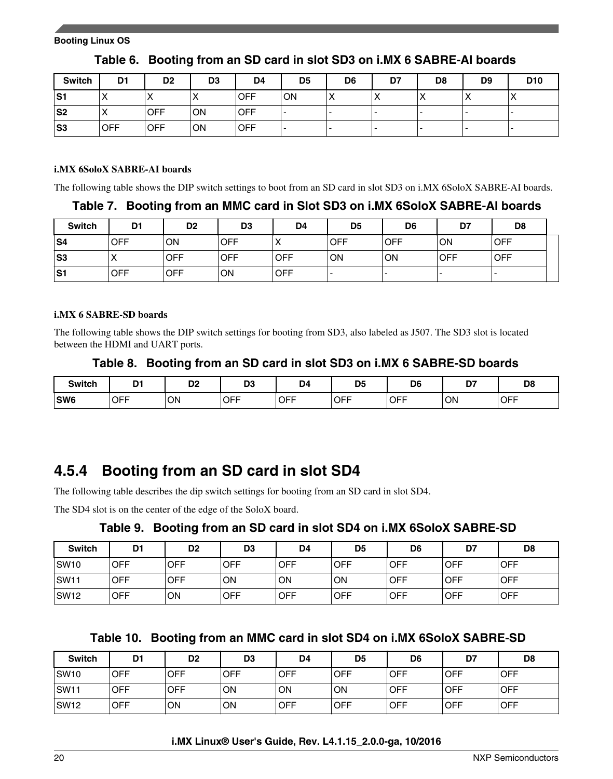| <b>Switch</b>  | D <sub>1</sub> | D <sub>2</sub> | D <sub>3</sub> | D <sub>4</sub> | D <sub>5</sub> | D <sub>6</sub> | D7                      | D <sub>8</sub> | D <sub>9</sub> | D <sub>10</sub> |
|----------------|----------------|----------------|----------------|----------------|----------------|----------------|-------------------------|----------------|----------------|-----------------|
| S1             |                | $\lambda$      |                | <b>OFF</b>     | ON             |                | $\lambda$<br>$\sqrt{ }$ | ↗              | ↗              | $\lambda$       |
| S <sub>2</sub> | $\lambda$      | <b>IOFF</b>    | ΟN             | <b>OFF</b>     |                |                | -                       |                |                |                 |
| S <sub>3</sub> | <b>OFF</b>     | <b>OFF</b>     | ΟN             | <b>OFF</b>     |                |                | -                       |                |                |                 |

### **Table 6. Booting from an SD card in slot SD3 on i.MX 6 SABRE-AI boards**

#### **i.MX 6SoloX SABRE-AI boards**

The following table shows the DIP switch settings to boot from an SD card in slot SD3 on i.MX 6SoloX SABRE-AI boards.

**Table 7. Booting from an MMC card in Slot SD3 on i.MX 6SoloX SABRE-AI boards**

| <b>Switch</b> | D <sub>1</sub> | D <sub>2</sub> | D <sub>3</sub> | D <sub>4</sub> | D <sub>5</sub> | D <sub>6</sub> | D7         | D <sub>8</sub> |  |
|---------------|----------------|----------------|----------------|----------------|----------------|----------------|------------|----------------|--|
| S4            | <b>OFF</b>     | ON             | <b>OFF</b>     | $\lambda$      | <b>OFF</b>     | <b>OFF</b>     | ON         | <b>OFF</b>     |  |
| lS3           |                | <b>OFF</b>     | <b>OFF</b>     | <b>OFF</b>     | ΟN             | ON             | <b>OFF</b> | <b>IOFF</b>    |  |
| S1            | <b>OFF</b>     | <b>OFF</b>     | ON             | <b>OFF</b>     |                |                |            |                |  |

#### **i.MX 6 SABRE-SD boards**

The following table shows the DIP switch settings for booting from SD3, also labeled as J507. The SD3 slot is located between the HDMI and UART ports.

### **Table 8. Booting from an SD card in slot SD3 on i.MX 6 SABRE-SD boards**

| <b>Switch</b>   | D.  | D <sub>0</sub><br>◡▵ | Dr.<br>ن لا | D <sub>4</sub> | D <sub>5</sub> | D <sub>6</sub>               | n,<br>., | D <sub>8</sub> |
|-----------------|-----|----------------------|-------------|----------------|----------------|------------------------------|----------|----------------|
| SW <sub>6</sub> | OFF | ON<br>$\sim$         | <b>OFF</b>  | <b>OFF</b>     | OFF            | $\cap$ FF<br>י ∪רי<br>$\sim$ | ON       | <b>OFF</b>     |

### **4.5.4 Booting from an SD card in slot SD4**

The following table describes the dip switch settings for booting from an SD card in slot SD4.

The SD4 slot is on the center of the edge of the SoloX board.

### **Table 9. Booting from an SD card in slot SD4 on i.MX 6SoloX SABRE-SD**

| <b>Switch</b> | D <sub>1</sub> | D <sub>2</sub> | D <sub>3</sub> | D4         | D <sub>5</sub> | D6         | D7         | D <sub>8</sub> |
|---------------|----------------|----------------|----------------|------------|----------------|------------|------------|----------------|
| SW10          | <b>OFF</b>     | <b>OFF</b>     | <b>OFF</b>     | <b>OFF</b> | <b>OFF</b>     | <b>OFF</b> | OFF        | <b>OFF</b>     |
| SW11          | <b>OFF</b>     | <b>OFF</b>     | ON             | ON         | ON             | <b>OFF</b> | <b>OFF</b> | <b>OFF</b>     |
| SW12          | <b>OFF</b>     | ΟN             | <b>OFF</b>     | <b>OFF</b> | <b>OFF</b>     | <b>OFF</b> | <b>OFF</b> | <b>OFF</b>     |

|  |  |  |  | Table 10. Booting from an MMC card in slot SD4 on i.MX 6SoloX SABRE-SD |
|--|--|--|--|------------------------------------------------------------------------|
|--|--|--|--|------------------------------------------------------------------------|

| <b>Switch</b> | D1         | D <sub>2</sub> | D <sub>3</sub> | D4         | D <sub>5</sub> | D <sub>6</sub> | D7          | D <sub>8</sub> |
|---------------|------------|----------------|----------------|------------|----------------|----------------|-------------|----------------|
| <b>SW10</b>   | <b>OFF</b> | <b>OFF</b>     | OFF            | <b>OFF</b> | <b>OFF</b>     | <b>OFF</b>     | <b>OFF</b>  | <b>IOFF</b>    |
| <b>SW11</b>   | <b>OFF</b> | <b>OFF</b>     | ON             | ΟN         | ON             | <b>OFF</b>     | <b>IOFF</b> | <b>OFF</b>     |
| <b>SW12</b>   | <b>OFF</b> | OΝ             | ON             | <b>OFF</b> | <b>OFF</b>     | <b>OFF</b>     | <b>OFF</b>  | <b>OFF</b>     |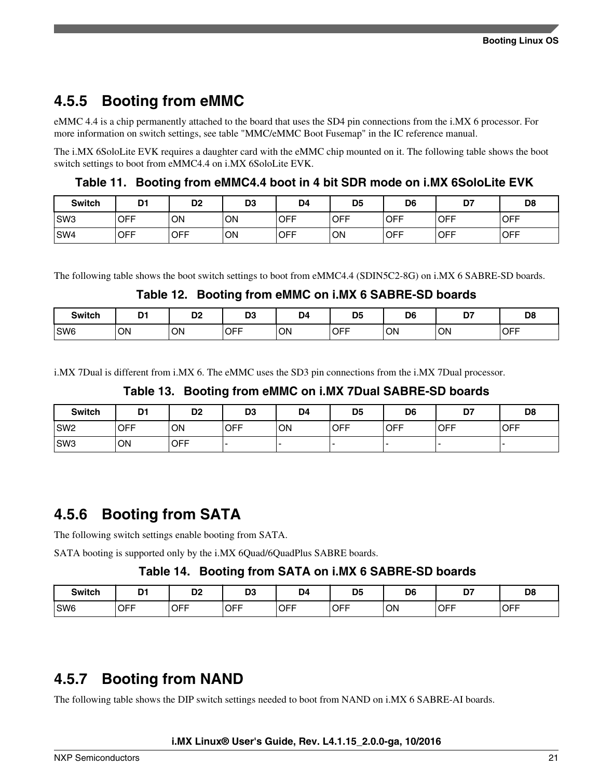## **4.5.5 Booting from eMMC**

eMMC 4.4 is a chip permanently attached to the board that uses the SD4 pin connections from the i.MX 6 processor. For more information on switch settings, see table "MMC/eMMC Boot Fusemap" in the IC reference manual.

The i.MX 6SoloLite EVK requires a daughter card with the eMMC chip mounted on it. The following table shows the boot switch settings to boot from eMMC4.4 on i.MX 6SoloLite EVK.

**Table 11. Booting from eMMC4.4 boot in 4 bit SDR mode on i.MX 6SoloLite EVK**

| <b>Switch</b>   | D <sub>1</sub> | D <sub>2</sub> | D <sub>3</sub> | D <sub>4</sub> | D <sub>5</sub> | D <sub>6</sub>   | D7<br>יש   | D <sub>8</sub> |
|-----------------|----------------|----------------|----------------|----------------|----------------|------------------|------------|----------------|
| SW <sub>3</sub> | <b>OFF</b>     | ON             | <b>ON</b>      | <b>OFF</b>     | <b>OFF</b>     | <b>IOFF</b>      | <b>OFF</b> | <b>OFF</b>     |
| SW <sub>4</sub> | <b>OFF</b>     | <b>OFF</b>     | ON             | <b>OFF</b>     | 'ON            | <sub>I</sub> OFF | <b>OFF</b> | <b>OFF</b>     |

The following table shows the boot switch settings to boot from eMMC4.4 (SDIN5C2-8G) on i.MX 6 SABRE-SD boards.

### **Table 12. Booting from eMMC on i.MX 6 SABRE-SD boards**

| <b>Switch</b>   | D1 | D <sub>0</sub><br>שע | D <sub>2</sub><br>יי | D4 | <b>DE</b><br>יש      | D <sub>6</sub> | n,<br>$\overline{\phantom{0}}$ | D <sub>8</sub> |
|-----------------|----|----------------------|----------------------|----|----------------------|----------------|--------------------------------|----------------|
| SW <sub>6</sub> | ON | ON                   | <b>OFF</b><br>- - -  | ON | <b>OFF</b><br>$\sim$ | ON             | ON                             | <b>OFF</b>     |

i.MX 7Dual is different from i.MX 6. The eMMC uses the SD3 pin connections from the i.MX 7Dual processor.

### **Table 13. Booting from eMMC on i.MX 7Dual SABRE-SD boards**

| <b>Switch</b>   | D <sub>1</sub> | D <sub>2</sub> | D <sub>3</sub> | D4 | D <sub>5</sub> | D <sub>6</sub>    | D7          | D <sub>8</sub> |
|-----------------|----------------|----------------|----------------|----|----------------|-------------------|-------------|----------------|
| SW <sub>2</sub> | <b>OFF</b>     | ON             | <b>OFF</b>     | ON | OFF            | $\overline{)$ OFF | <b>IOFF</b> | <b>IOFF</b>    |
| SW <sub>3</sub> | ON             | <b>OFF</b>     |                |    |                |                   |             |                |

### **4.5.6 Booting from SATA**

The following switch settings enable booting from SATA.

SATA booting is supported only by the i.MX 6Quad/6QuadPlus SABRE boards.

### **Table 14. Booting from SATA on i.MX 6 SABRE-SD boards**

| <b>Switch</b>   | D.<br>י ש  | D <sub>0</sub><br>ש | D <sub>3</sub> | D <sub>4</sub> | D <sub>5</sub> | D <sub>6</sub> | דה<br>ע    | D <sub>8</sub> |
|-----------------|------------|---------------------|----------------|----------------|----------------|----------------|------------|----------------|
| SW <sub>6</sub> | <b>OFF</b> | <b>OFF</b>          | <b>OFF</b>     | <b>OFF</b>     | <b>OFF</b>     | ON             | <b>OFF</b> | <b>OFF</b>     |

## **4.5.7 Booting from NAND**

The following table shows the DIP switch settings needed to boot from NAND on i.MX 6 SABRE-AI boards.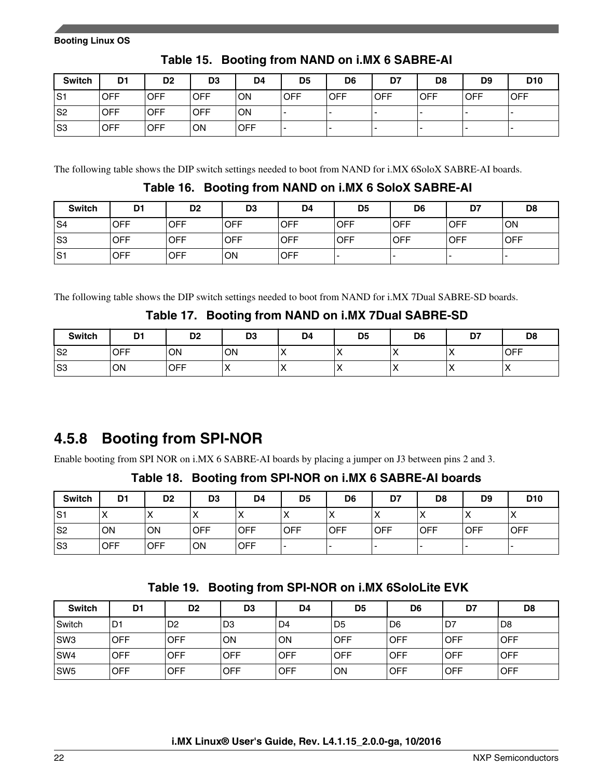| <b>Switch</b>  | D <sub>1</sub> | D <sub>2</sub> | D <sub>3</sub> | D4         | D <sub>5</sub> | D6         | D7         | D <sub>8</sub> | D <sub>9</sub> | D <sub>10</sub> |
|----------------|----------------|----------------|----------------|------------|----------------|------------|------------|----------------|----------------|-----------------|
| S1             | <b>OFF</b>     | <b>OFF</b>     | <b>OFF</b>     | <b>ON</b>  | <b>OFF</b>     | <b>OFF</b> | <b>OFF</b> | <b>OFF</b>     | <b>OFF</b>     | <b>OFF</b>      |
| S <sub>2</sub> | <b>OFF</b>     | <b>OFF</b>     | <b>OFF</b>     | <b>ON</b>  |                |            |            |                |                | -               |
| S <sub>3</sub> | <b>OFF</b>     | <b>OFF</b>     | ON             | <b>OFF</b> |                |            |            |                |                | -               |

**Table 15. Booting from NAND on i.MX 6 SABRE-AI**

The following table shows the DIP switch settings needed to boot from NAND for i.MX 6SoloX SABRE-AI boards.

### **Table 16. Booting from NAND on i.MX 6 SoloX SABRE-AI**

| <b>Switch</b>  | D <sub>1</sub> | D <sub>2</sub> | D <sub>3</sub> | D4         | D <sub>5</sub>           | D <sub>6</sub> | D7         | D <sub>8</sub> |
|----------------|----------------|----------------|----------------|------------|--------------------------|----------------|------------|----------------|
| S4             | <b>OFF</b>     | <b>OFF</b>     | OFF            | <b>OFF</b> | <b>OFF</b>               | <b>OFF</b>     | <b>OFF</b> | <b>ON</b>      |
| S <sub>3</sub> | <b>OFF</b>     | <b>OFF</b>     | <b>OFF</b>     | <b>OFF</b> | <b>OFF</b>               | <b>OFF</b>     | <b>OFF</b> | <b>OFF</b>     |
| S <sub>1</sub> | <b>OFF</b>     | <b>OFF</b>     | ON             | <b>OFF</b> | $\overline{\phantom{0}}$ | -              |            |                |

The following table shows the DIP switch settings needed to boot from NAND for i.MX 7Dual SABRE-SD boards.

### **Table 17. Booting from NAND on i.MX 7Dual SABRE-SD**

| <b>Switch</b>  | D <sup>1</sup> | D <sub>2</sub> | D <sub>3</sub>    | D4  | D <sub>5</sub> | D <sub>6</sub> | D7 | D <sub>8</sub> |
|----------------|----------------|----------------|-------------------|-----|----------------|----------------|----|----------------|
| S <sub>2</sub> | <b>OFF</b>     | ΟN             | ON                | . . |                |                |    | <b>OFF</b>     |
| S <sub>3</sub> | ON             | <b>OFF</b>     | $\mathbf{v}$<br>↗ |     |                |                |    |                |

## **4.5.8 Booting from SPI-NOR**

Enable booting from SPI NOR on i.MX 6 SABRE-AI boards by placing a jumper on J3 between pins 2 and 3.

**Table 18. Booting from SPI-NOR on i.MX 6 SABRE-AI boards**

| <b>Switch</b> | D <sub>1</sub> | D <sub>2</sub> | D <sub>3</sub> | D <sub>4</sub> | D <sub>5</sub> | D <sub>6</sub> | D7                         | D <sub>8</sub> | D <sub>9</sub> | D <sub>10</sub> |
|---------------|----------------|----------------|----------------|----------------|----------------|----------------|----------------------------|----------------|----------------|-----------------|
| S1            | $\lambda$<br>⌒ | ⌒              | $\lambda$      | $\sqrt{ }$     | ⌒              |                | $\checkmark$<br>$\sqrt{ }$ | $\sqrt{ }$     | $\lambda$      | X               |
| S2            | ON             | ON             | <b>OFF</b>     | <b>OFF</b>     | <b>OFF</b>     | <b>OFF</b>     | <b>IOFF</b>                | <b>OFF</b>     | <b>OFF</b>     | <b>OFF</b>      |
| S3            | <b>OFF</b>     | <b>OFF</b>     | ON             | <b>OFF</b>     |                |                | -                          | -              |                |                 |

| <b>Switch</b>   | D <sub>1</sub> | D <sub>2</sub> | D <sub>3</sub> | D4             | D <sub>5</sub> | D <sub>6</sub> | D7          | D <sub>8</sub> |
|-----------------|----------------|----------------|----------------|----------------|----------------|----------------|-------------|----------------|
| l Switch        | D <sub>1</sub> | D <sub>2</sub> | D <sub>3</sub> | D <sub>4</sub> | D <sub>5</sub> | D <sub>6</sub> | D7,         | D8 l           |
| SW3             | <b>OFF</b>     | <b>OFF</b>     | ON             | <b>ON</b>      | <b>OFF</b>     | <b>OFF</b>     | <b>OFF</b>  | <b>OFF</b>     |
| SW4             | <b>OFF</b>     | <b>OFF</b>     | <b>OFF</b>     | OFF            | <b>OFF</b>     | <b>OFF</b>     | <b>OFF</b>  | <b>OFF</b>     |
| SW <sub>5</sub> | <b>OFF</b>     | <b>OFF</b>     | <b>OFF</b>     | OFF            | ON             | <b>OFF</b>     | <b>IOFF</b> | <b>OFF</b>     |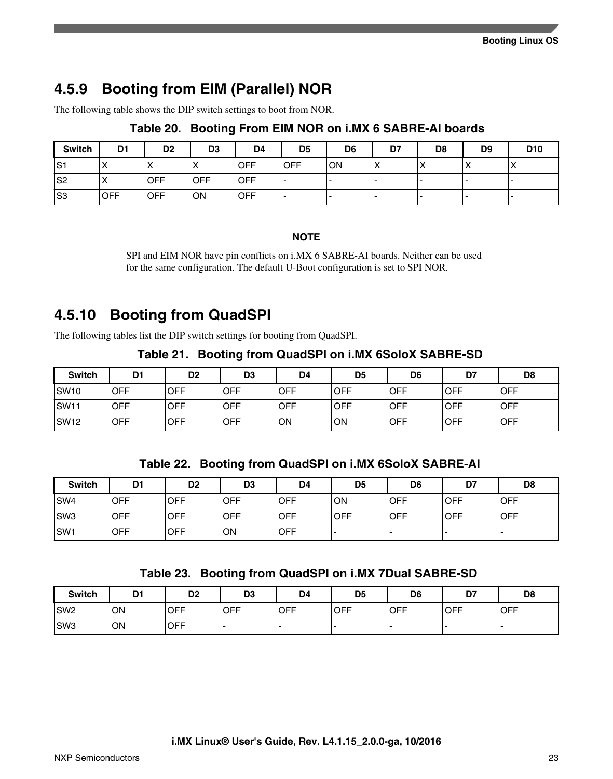## **4.5.9 Booting from EIM (Parallel) NOR**

The following table shows the DIP switch settings to boot from NOR.

| <b>Switch</b> | D1         | D <sub>2</sub>           | D <sub>3</sub> | D <sub>4</sub> | D5          | D <sub>6</sub> | D7                     | D8        | D <sub>9</sub> | D <sub>10</sub>         |
|---------------|------------|--------------------------|----------------|----------------|-------------|----------------|------------------------|-----------|----------------|-------------------------|
| lS1           | ⌒          | $\overline{\phantom{a}}$ |                | <b>OFF</b>     | <b>IOFF</b> | ON             | $\mathbf{v}$<br>$\sim$ | $\lambda$ |                | $\lambda$<br>$\sqrt{ }$ |
| S2            | ↗          | <b>OFF</b>               | <b>OFF</b>     | <b>OFF</b>     | . .         |                |                        |           |                | . .                     |
| S3            | <b>OFF</b> | <b>OFF</b>               | ON             | <b>OFF</b>     | . .         |                |                        |           |                |                         |

### **Table 20. Booting From EIM NOR on i.MX 6 SABRE-AI boards**

**NOTE**

SPI and EIM NOR have pin conflicts on i.MX 6 SABRE-AI boards. Neither can be used for the same configuration. The default U-Boot configuration is set to SPI NOR.

### **4.5.10 Booting from QuadSPI**

The following tables list the DIP switch settings for booting from QuadSPI.

**Table 21. Booting from QuadSPI on i.MX 6SoloX SABRE-SD**

| <b>Switch</b>    | D <sub>1</sub> | D <sub>2</sub> | D <sub>3</sub> | D4  | D <sub>5</sub> | D6          | D7          | D <sub>8</sub> |
|------------------|----------------|----------------|----------------|-----|----------------|-------------|-------------|----------------|
| SW <sub>10</sub> | <b>OFF</b>     | <b>OFF</b>     | <b>OFF</b>     | OFF | <b>OFF</b>     | <b>OFF</b>  | <b>IOFF</b> | <b>OFF</b>     |
| <b>SW11</b>      | <b>OFF</b>     | <b>OFF</b>     | <b>OFF</b>     | OFF | <b>OFF</b>     | <b>OFF</b>  | <b>OFF</b>  | <b>OFF</b>     |
| SW <sub>12</sub> | <b>OFF</b>     | <b>OFF</b>     | OFF            | ΟN  | ON             | <b>IOFF</b> | <b>OFF</b>  | <b>OFF</b>     |

**Table 22. Booting from QuadSPI on i.MX 6SoloX SABRE-AI**

| <b>Switch</b>   | D <sub>1</sub> | D <sub>2</sub> | D <sub>3</sub> | D <sub>4</sub> | D5         | D <sub>6</sub> | D7         | D <sub>8</sub> |
|-----------------|----------------|----------------|----------------|----------------|------------|----------------|------------|----------------|
| SW <sub>4</sub> | <b>OFF</b>     | <b>OFF</b>     | <b>OFF</b>     | <b>OFF</b>     | ON         | <b>OFF</b>     | <b>OFF</b> | <b>OFF</b>     |
| SW <sub>3</sub> | <b>OFF</b>     | <b>OFF</b>     | <b>OFF</b>     | <b>OFF</b>     | <b>OFF</b> | <b>OFF</b>     | <b>OFF</b> | <b>OFF</b>     |
| SW <sub>1</sub> | <b>OFF</b>     | OFF            | ON             | OFF            |            |                |            |                |

**Table 23. Booting from QuadSPI on i.MX 7Dual SABRE-SD**

| <b>Switch</b>   | D <sub>1</sub> | D <sub>2</sub> | D <sub>3</sub> | D <sub>4</sub> | D5         | D <sub>6</sub> | D7         | D <sub>8</sub> |
|-----------------|----------------|----------------|----------------|----------------|------------|----------------|------------|----------------|
| SW <sub>2</sub> | ON             | <b>OFF</b>     | <b>OFF</b>     | <b>OFF</b>     | <b>OFF</b> | <b>OFF</b>     | <b>OFF</b> | <b>OFF</b>     |
| SW <sub>3</sub> | <b>ON</b>      | <b>OFF</b>     |                |                |            |                |            | . .            |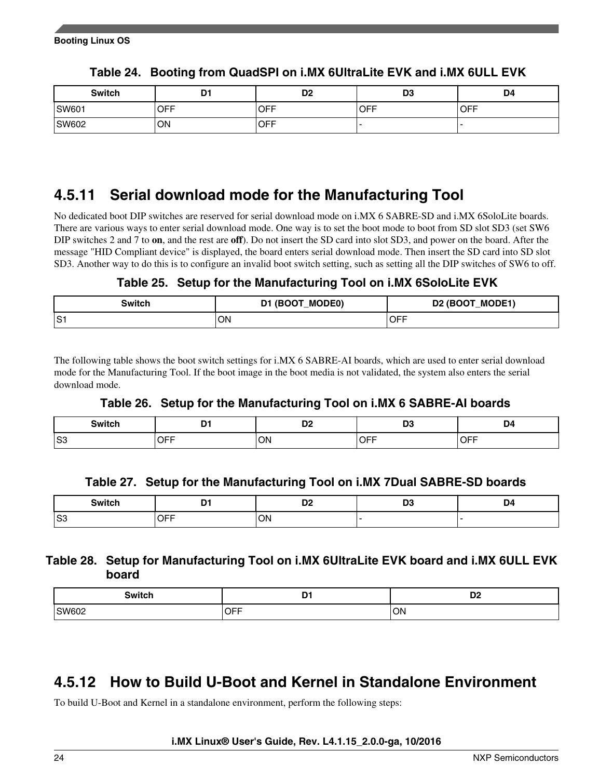<span id="page-23-0"></span>

| <b>Switch</b> | D1  | D <sub>2</sub> | D <sub>3</sub> | D4         |
|---------------|-----|----------------|----------------|------------|
| SW601         | OFF | <b>OFF</b>     | <b>OFF</b>     | <b>OFF</b> |
| <b>SW602</b>  | ΟN  | <b>OFF</b>     |                |            |

**Table 24. Booting from QuadSPI on i.MX 6UltraLite EVK and i.MX 6ULL EVK**

### **4.5.11 Serial download mode for the Manufacturing Tool**

No dedicated boot DIP switches are reserved for serial download mode on i.MX 6 SABRE-SD and i.MX 6SoloLite boards. There are various ways to enter serial download mode. One way is to set the boot mode to boot from SD slot SD3 (set SW6 DIP switches 2 and 7 to **on**, and the rest are **off**). Do not insert the SD card into slot SD3, and power on the board. After the message "HID Compliant device" is displayed, the board enters serial download mode. Then insert the SD card into SD slot SD3. Another way to do this is to configure an invalid boot switch setting, such as setting all the DIP switches of SW6 to off.

**Table 25. Setup for the Manufacturing Tool on i.MX 6SoloLite EVK**

| Switch | D1 (BOOT_MODE0) | D2 (BOOT_MODE1) |
|--------|-----------------|-----------------|
| lS1    | ON              | <b>OFF</b>      |

The following table shows the boot switch settings for i.MX 6 SABRE-AI boards, which are used to enter serial download mode for the Manufacturing Tool. If the boot image in the boot media is not validated, the system also enters the serial download mode.

|  |  |  |  | Table 26. Setup for the Manufacturing Tool on i.MX 6 SABRE-AI boards |
|--|--|--|--|----------------------------------------------------------------------|
|--|--|--|--|----------------------------------------------------------------------|

| <b>Switch</b> | -<br>- -   | r.<br>◡▵      | r.<br>יש | l IZ                              |
|---------------|------------|---------------|----------|-----------------------------------|
| S3            | . – –<br>마 | M∩.<br>$\sim$ | . – –    | $\sim$ $ -$<br>. .<br>.<br>$\sim$ |

|  | Table 27. Setup for the Manufacturing Tool on i.MX 7Dual SABRE-SD boards |  |
|--|--------------------------------------------------------------------------|--|
|--|--------------------------------------------------------------------------|--|

| <b>Switch</b> | D.       | - -             | nc. | . 34 |
|---------------|----------|-----------------|-----|------|
|               | . .      | ∽               | v.  | - -  |
| IS3           | ~--<br>- | O٨<br>$\ddotsc$ |     |      |

### **Table 28. Setup for Manufacturing Tool on i.MX 6UltraLite EVK board and i.MX 6ULL EVK board**

| <b>Switch</b><br>______ | -<br>-<br>$ -$ | D <sub>0</sub><br>UΖ |
|-------------------------|----------------|----------------------|
| SW602                   | <b>OFF</b>     | ON                   |

### **4.5.12 How to Build U-Boot and Kernel in Standalone Environment**

To build U-Boot and Kernel in a standalone environment, perform the following steps: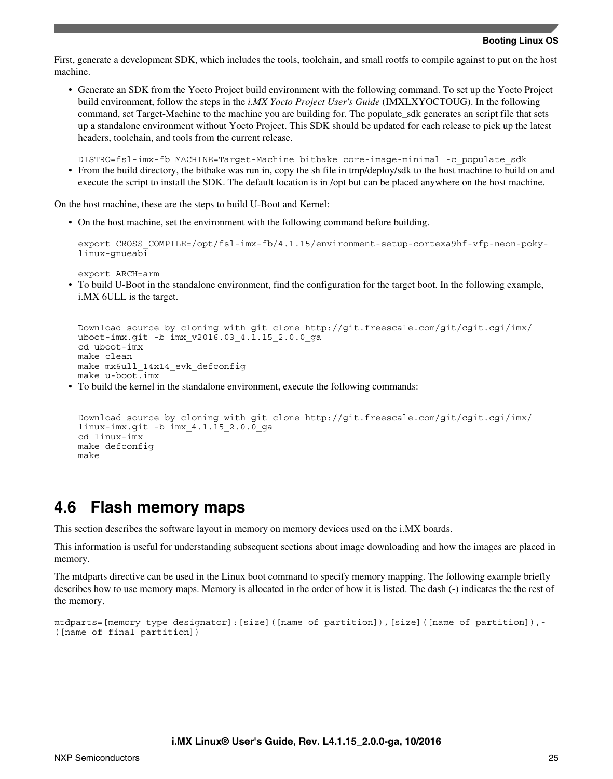<span id="page-24-0"></span>First, generate a development SDK, which includes the tools, toolchain, and small rootfs to compile against to put on the host machine.

• Generate an SDK from the Yocto Project build environment with the following command. To set up the Yocto Project build environment, follow the steps in the *i.MX Yocto Project User's Guide* (IMXLXYOCTOUG). In the following command, set Target-Machine to the machine you are building for. The populate sdk generates an script file that sets up a standalone environment without Yocto Project. This SDK should be updated for each release to pick up the latest headers, toolchain, and tools from the current release.

DISTRO=fsl-imx-fb MACHINE=Target-Machine bitbake core-image-minimal -c\_populate\_sdk

• From the build directory, the bitbake was run in, copy the sh file in tmp/deploy/sdk to the host machine to build on and execute the script to install the SDK. The default location is in /opt but can be placed anywhere on the host machine.

On the host machine, these are the steps to build U-Boot and Kernel:

• On the host machine, set the environment with the following command before building.

export CROSS\_COMPILE=/opt/fsl-imx-fb/4.1.15/environment-setup-cortexa9hf-vfp-neon-pokylinux-gnueabi

export ARCH=arm

• To build U-Boot in the standalone environment, find the configuration for the target boot. In the following example, i.MX 6ULL is the target.

```
Download source by cloning with git clone http://git.freescale.com/git/cgit.cgi/imx/
uboot-imx.git -b imx_v2016.03_4.1.15_2.0.0_ga
cd uboot-imx
make clean
make mx6ull_14x14_evk_defconfig
make u-boot.imx
```
• To build the kernel in the standalone environment, execute the following commands:

```
Download source by cloning with git clone http://git.freescale.com/git/cgit.cgi/imx/
linux-imx.git -b imx_4.1.15_2.0.0_ga
cd linux-imx
make defconfig
make
```
### **4.6 Flash memory maps**

This section describes the software layout in memory on memory devices used on the i.MX boards.

This information is useful for understanding subsequent sections about image downloading and how the images are placed in memory.

The mtdparts directive can be used in the Linux boot command to specify memory mapping. The following example briefly describes how to use memory maps. Memory is allocated in the order of how it is listed. The dash (-) indicates the the rest of the memory.

```
mtdparts=[memory type designator]: [size]([name of partition]), [size]([name of partition]),-
([name of final partition])
```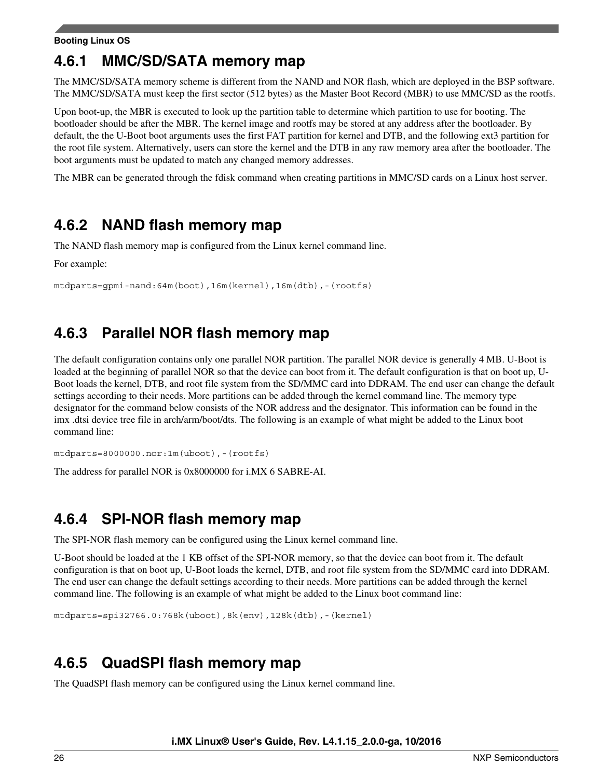## **4.6.1 MMC/SD/SATA memory map**

The MMC/SD/SATA memory scheme is different from the NAND and NOR flash, which are deployed in the BSP software. The MMC/SD/SATA must keep the first sector (512 bytes) as the Master Boot Record (MBR) to use MMC/SD as the rootfs.

Upon boot-up, the MBR is executed to look up the partition table to determine which partition to use for booting. The bootloader should be after the MBR. The kernel image and rootfs may be stored at any address after the bootloader. By default, the the U-Boot boot arguments uses the first FAT partition for kernel and DTB, and the following ext3 partition for the root file system. Alternatively, users can store the kernel and the DTB in any raw memory area after the bootloader. The boot arguments must be updated to match any changed memory addresses.

The MBR can be generated through the fdisk command when creating partitions in MMC/SD cards on a Linux host server.

### **4.6.2 NAND flash memory map**

The NAND flash memory map is configured from the Linux kernel command line.

For example:

```
mtdparts=gpmi-nand:64m(boot),16m(kernel),16m(dtb),-(rootfs)
```
### **4.6.3 Parallel NOR flash memory map**

The default configuration contains only one parallel NOR partition. The parallel NOR device is generally 4 MB. U-Boot is loaded at the beginning of parallel NOR so that the device can boot from it. The default configuration is that on boot up, U-Boot loads the kernel, DTB, and root file system from the SD/MMC card into DDRAM. The end user can change the default settings according to their needs. More partitions can be added through the kernel command line. The memory type designator for the command below consists of the NOR address and the designator. This information can be found in the imx .dtsi device tree file in arch/arm/boot/dts. The following is an example of what might be added to the Linux boot command line:

mtdparts=8000000.nor:1m(uboot),-(rootfs)

The address for parallel NOR is 0x8000000 for i.MX 6 SABRE-AI.

### **4.6.4 SPI-NOR flash memory map**

The SPI-NOR flash memory can be configured using the Linux kernel command line.

U-Boot should be loaded at the 1 KB offset of the SPI-NOR memory, so that the device can boot from it. The default configuration is that on boot up, U-Boot loads the kernel, DTB, and root file system from the SD/MMC card into DDRAM. The end user can change the default settings according to their needs. More partitions can be added through the kernel command line. The following is an example of what might be added to the Linux boot command line:

```
mtdparts=spi32766.0:768k(uboot),8k(env),128k(dtb),-(kernel)
```
## **4.6.5 QuadSPI flash memory map**

The QuadSPI flash memory can be configured using the Linux kernel command line.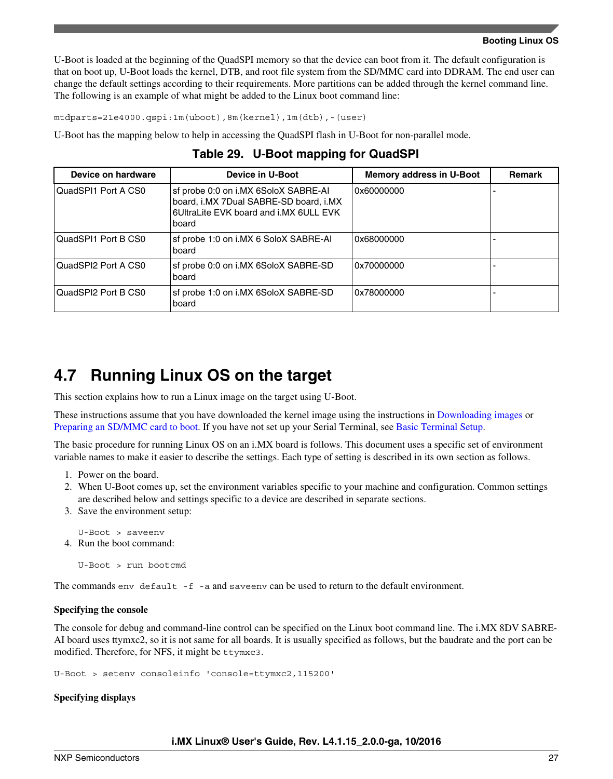<span id="page-26-0"></span>U-Boot is loaded at the beginning of the QuadSPI memory so that the device can boot from it. The default configuration is that on boot up, U-Boot loads the kernel, DTB, and root file system from the SD/MMC card into DDRAM. The end user can change the default settings according to their requirements. More partitions can be added through the kernel command line. The following is an example of what might be added to the Linux boot command line:

mtdparts=21e4000.qspi:1m(uboot),8m(kernel),1m(dtb),-(user)

U-Boot has the mapping below to help in accessing the QuadSPI flash in U-Boot for non-parallel mode.

| Device on hardware  | Device in U-Boot                                                                                                                  | <b>Memory address in U-Boot</b> | <b>Remark</b> |
|---------------------|-----------------------------------------------------------------------------------------------------------------------------------|---------------------------------|---------------|
| QuadSPI1 Port A CS0 | sf probe 0:0 on i.MX 6SoloX SABRE-AI<br>board, i.MX 7Dual SABRE-SD board, i.MX<br>6UltraLite EVK board and i.MX 6ULL EVK<br>board | 0x60000000                      |               |
| QuadSPI1 Port B CS0 | sf probe 1:0 on i.MX 6 SoloX SABRE-AI<br>board                                                                                    | 0x68000000                      |               |
| QuadSPI2 Port A CS0 | sf probe 0:0 on i.MX 6SoloX SABRE-SD<br>board                                                                                     | 0x70000000                      |               |
| QuadSPI2 Port B CS0 | sf probe 1:0 on i.MX 6SoloX SABRE-SD<br>board                                                                                     | 0x78000000                      |               |

**Table 29. U-Boot mapping for QuadSPI**

### **4.7 Running Linux OS on the target**

This section explains how to run a Linux image on the target using U-Boot.

These instructions assume that you have downloaded the kernel image using the instructions in [Downloading images o](#page-10-0)r [Preparing an SD/MMC card to boot.](#page-6-0) If you have not set up your Serial Terminal, see [Basic Terminal Setup](#page-2-0).

The basic procedure for running Linux OS on an i.MX board is follows. This document uses a specific set of environment variable names to make it easier to describe the settings. Each type of setting is described in its own section as follows.

- 1. Power on the board.
- 2. When U-Boot comes up, set the environment variables specific to your machine and configuration. Common settings are described below and settings specific to a device are described in separate sections.
- 3. Save the environment setup:

```
U-Boot > saveenv 
4. Run the boot command:
```
U-Boot > run bootcmd

The commands env default -f -a and saveenv can be used to return to the default environment.

#### **Specifying the console**

The console for debug and command-line control can be specified on the Linux boot command line. The i.MX 8DV SABRE-AI board uses ttymxc2, so it is not same for all boards. It is usually specified as follows, but the baudrate and the port can be modified. Therefore, for NFS, it might be ttymxc3.

U-Boot > setenv consoleinfo 'console=ttymxc2,115200'

#### **Specifying displays**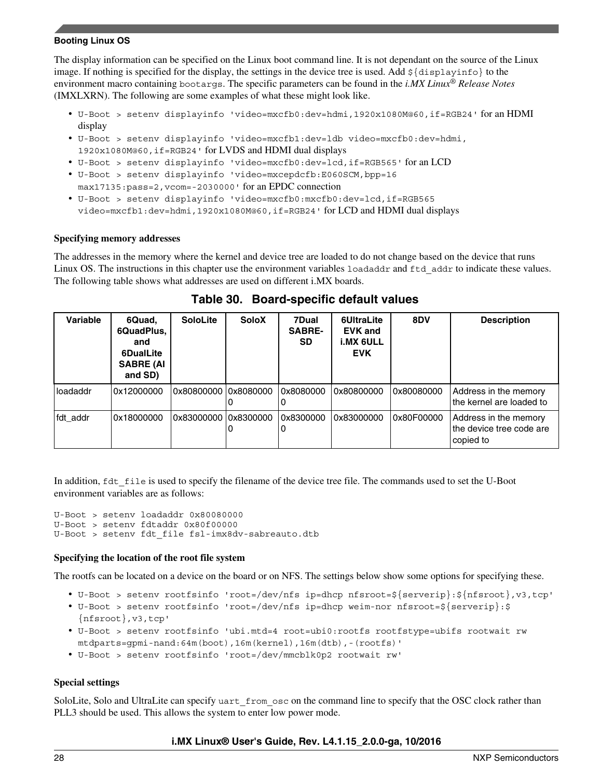The display information can be specified on the Linux boot command line. It is not dependant on the source of the Linux image. If nothing is specified for the display, the settings in the device tree is used. Add  $\frac{1}{2}$ {displayinfo} to the environment macro containing bootargs. The specific parameters can be found in the *i.MX Linux® Release Notes* (IMXLXRN). The following are some examples of what these might look like.

- U-Boot > setenv displayinfo 'video=mxcfb0:dev=hdmi,1920x1080M@60,if=RGB24' for an HDMI display
- U-Boot > setenv displayinfo 'video=mxcfb1:dev=ldb video=mxcfb0:dev=hdmi, 1920x1080M@60,if=RGB24' for LVDS and HDMI dual displays
- U-Boot > setenv displayinfo 'video=mxcfb0:dev=lcd,if=RGB565' for an LCD
- U-Boot > setenv displayinfo 'video=mxcepdcfb:E060SCM,bpp=16 max17135:pass=2,vcom=-2030000' for an EPDC connection
- U-Boot > setenv displayinfo 'video=mxcfb0:mxcfb0:dev=lcd,if=RGB565 video=mxcfb1:dev=hdmi,1920x1080M@60,if=RGB24' for LCD and HDMI dual displays

#### **Specifying memory addresses**

The addresses in the memory where the kernel and device tree are loaded to do not change based on the device that runs Linux OS. The instructions in this chapter use the environment variables loadaddr and ftd addr to indicate these values. The following table shows what addresses are used on different i.MX boards.

| Variable | 6Quad,<br>6QuadPlus,<br>and<br><b>6DualLite</b><br><b>SABRE (AI</b><br>and SD) | <b>SoloLite</b>      | <b>SoloX</b> | 7Dual<br><b>SABRE-</b><br><b>SD</b> | 6UltraLite<br><b>EVK and</b><br>i.MX 6ULL<br><b>EVK</b> | 8DV        | <b>Description</b>                                             |
|----------|--------------------------------------------------------------------------------|----------------------|--------------|-------------------------------------|---------------------------------------------------------|------------|----------------------------------------------------------------|
| loadaddr | 0x12000000                                                                     | 0x80800000 0x8080000 |              | 0x8080000                           | 0x80800000                                              | 0x80080000 | Address in the memory<br>the kernel are loaded to              |
| fdt addr | 0x18000000                                                                     | 0x83000000 0x8300000 | 0            | 0x8300000                           | 0x83000000                                              | 0x80F00000 | Address in the memory<br>the device tree code are<br>copied to |

**Table 30. Board-specific default values**

In addition, flat file is used to specify the filename of the device tree file. The commands used to set the U-Boot environment variables are as follows:

U-Boot > setenv loadaddr 0x80080000 U-Boot > setenv fdtaddr 0x80f00000 U-Boot > setenv fdt\_file fsl-imx8dv-sabreauto.dtb

#### **Specifying the location of the root file system**

The rootfs can be located on a device on the board or on NFS. The settings below show some options for specifying these.

- U-Boot > setenv rootfsinfo 'root=/dev/nfs ip=dhcp nfsroot=\${serverip}:\${nfsroot},v3,tcp'
- U-Boot > setenv rootfsinfo 'root=/dev/nfs ip=dhcp weim-nor nfsroot=\${serverip}:\$ {nfsroot},v3,tcp'
- U-Boot > setenv rootfsinfo 'ubi.mtd=4 root=ubi0:rootfs rootfstype=ubifs rootwait rw mtdparts=gpmi-nand:64m(boot),16m(kernel),16m(dtb),-(rootfs)'
- U-Boot > setenv rootfsinfo 'root=/dev/mmcblk0p2 rootwait rw'

#### **Special settings**

SoloLite, Solo and UltraLite can specify uart from osc on the command line to specify that the OSC clock rather than PLL3 should be used. This allows the system to enter low power mode.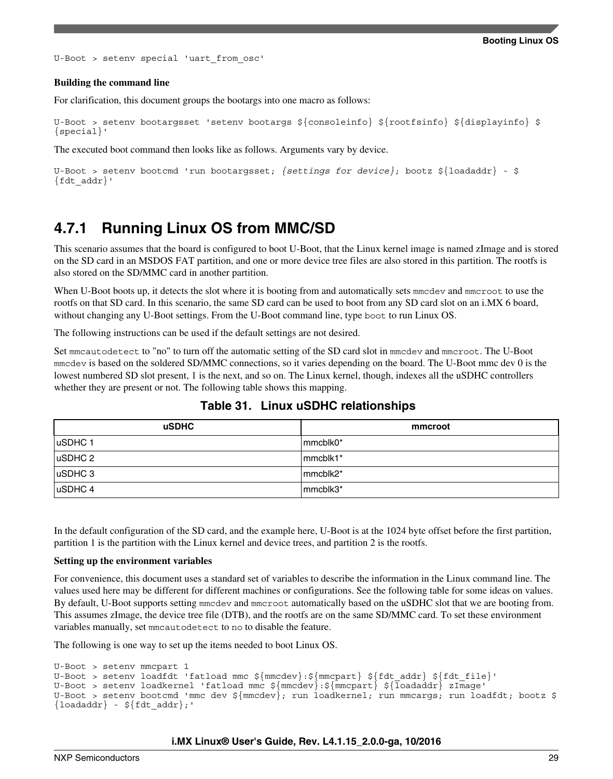U-Boot > setenv special 'uart\_from\_osc'

#### **Building the command line**

For clarification, this document groups the bootargs into one macro as follows:

```
U-Boot > setenv bootargsset 'setenv bootargs ${consoleinfo} ${rootfsinfo} ${displayinfo} $
{special}'
```
The executed boot command then looks like as follows. Arguments vary by device.

```
U-Boot > setenv bootcmd 'run bootargsset; {settings for device}; bootz ${loadaddr} - $
\{fdt addr}'
```
### **4.7.1 Running Linux OS from MMC/SD**

This scenario assumes that the board is configured to boot U-Boot, that the Linux kernel image is named zImage and is stored on the SD card in an MSDOS FAT partition, and one or more device tree files are also stored in this partition. The rootfs is also stored on the SD/MMC card in another partition.

When U-Boot boots up, it detects the slot where it is booting from and automatically sets mmcdev and mmcroot to use the rootfs on that SD card. In this scenario, the same SD card can be used to boot from any SD card slot on an i.MX 6 board, without changing any U-Boot settings. From the U-Boot command line, type boot to run Linux OS.

The following instructions can be used if the default settings are not desired.

Set mmcautodetect to "no" to turn off the automatic setting of the SD card slot in mmcdev and mmcroot. The U-Boot mmcdev is based on the soldered SD/MMC connections, so it varies depending on the board. The U-Boot mmc dev 0 is the lowest numbered SD slot present, 1 is the next, and so on. The Linux kernel, though, indexes all the uSDHC controllers whether they are present or not. The following table shows this mapping.

| <b>uSDHC</b>    | mmcroot     |
|-----------------|-------------|
| uSDHC 1         | mmcblk0*    |
| $ $ uSDHC 2     | $ mmcb$ k1* |
| $ $ uSDHC 3     | mmcblk2*    |
| $\vert$ uSDHC 4 | mmcblk3*    |

### **Table 31. Linux uSDHC relationships**

In the default configuration of the SD card, and the example here, U-Boot is at the 1024 byte offset before the first partition, partition 1 is the partition with the Linux kernel and device trees, and partition 2 is the rootfs.

#### **Setting up the environment variables**

For convenience, this document uses a standard set of variables to describe the information in the Linux command line. The values used here may be different for different machines or configurations. See the following table for some ideas on values. By default, U-Boot supports setting mmcdev and mmcroot automatically based on the uSDHC slot that we are booting from. This assumes zImage, the device tree file (DTB), and the rootfs are on the same SD/MMC card. To set these environment variables manually, set mmcautodetect to no to disable the feature.

The following is one way to set up the items needed to boot Linux OS.

```
U-Boot > setenv mmcpart 1
U-Boot > setenv loadfdt 'fatload mmc ${mmcdev}:${mmcpart} ${fdt_addr} ${fdt_file}'
U-Boot > setenv loadkernel 'fatload mmc ${mmcdev}:${mmcpart} ${loadaddr} zImage'
U-Boot > setenv bootcmd 'mmc dev ${mmcdev}; run loadkernel; run mmcargs; run loadfdt; bootz $
\{loadadr\} - \frac{\xi}{fdt}addr\};'
```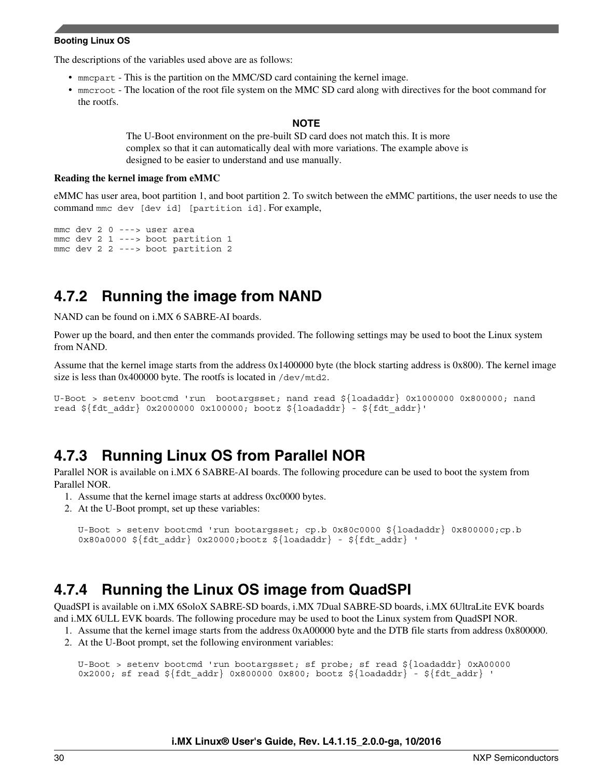The descriptions of the variables used above are as follows:

- mmcpart This is the partition on the MMC/SD card containing the kernel image.
- mmcroot The location of the root file system on the MMC SD card along with directives for the boot command for the rootfs.

#### **NOTE**

The U-Boot environment on the pre-built SD card does not match this. It is more complex so that it can automatically deal with more variations. The example above is designed to be easier to understand and use manually.

#### **Reading the kernel image from eMMC**

eMMC has user area, boot partition 1, and boot partition 2. To switch between the eMMC partitions, the user needs to use the command mmc dev [dev id] [partition id]. For example,

```
mmc dev 2 0 ---> user area
mmc dev 2 1 ---> boot partition 1
mmc dev 2 2 ---> boot partition 2
```
### **4.7.2 Running the image from NAND**

NAND can be found on i.MX 6 SABRE-AI boards.

Power up the board, and then enter the commands provided. The following settings may be used to boot the Linux system from NAND.

Assume that the kernel image starts from the address 0x1400000 byte (the block starting address is 0x800). The kernel image size is less than 0x400000 byte. The rootfs is located in /dev/mtd2.

```
U-Boot > setenv bootcmd 'run bootargsset; nand read ${loadaddr} 0x1000000 0x800000; nand 
read ${fdt$ addr} 0x2000000 0x100000; bootz ${loadaddr} - {fdt$ addr}'
```
### **4.7.3 Running Linux OS from Parallel NOR**

Parallel NOR is available on i.MX 6 SABRE-AI boards. The following procedure can be used to boot the system from Parallel NOR.

- 1. Assume that the kernel image starts at address 0xc0000 bytes.
- 2. At the U-Boot prompt, set up these variables:

```
U-Boot > setenv bootcmd 'run bootargsset; cp.b 0x80c0000 ${loadaddr} 0x800000;cp.b 
0x80a0000 \; \frac{1}{1} fdt \; addr 0x20000; bootz \; \frac{1}{1} odt - \frac{1}{1} fdt \; addr '
```
### **4.7.4 Running the Linux OS image from QuadSPI**

QuadSPI is available on i.MX 6SoloX SABRE-SD boards, i.MX 7Dual SABRE-SD boards, i.MX 6UltraLite EVK boards and i.MX 6ULL EVK boards. The following procedure may be used to boot the Linux system from QuadSPI NOR.

- 1. Assume that the kernel image starts from the address 0xA00000 byte and the DTB file starts from address 0x800000.
- 2. At the U-Boot prompt, set the following environment variables:

```
U-Boot > setenv bootcmd 'run bootargsset; sf probe; sf read ${loadaddr} 0xA00000 
0x2000; sf read \S{\text{fdt}_\text{addr}} 0x800000 0x800; bootz \S{\text{loadadr}} - \S{\text{fdt}_\text{addr}} '
```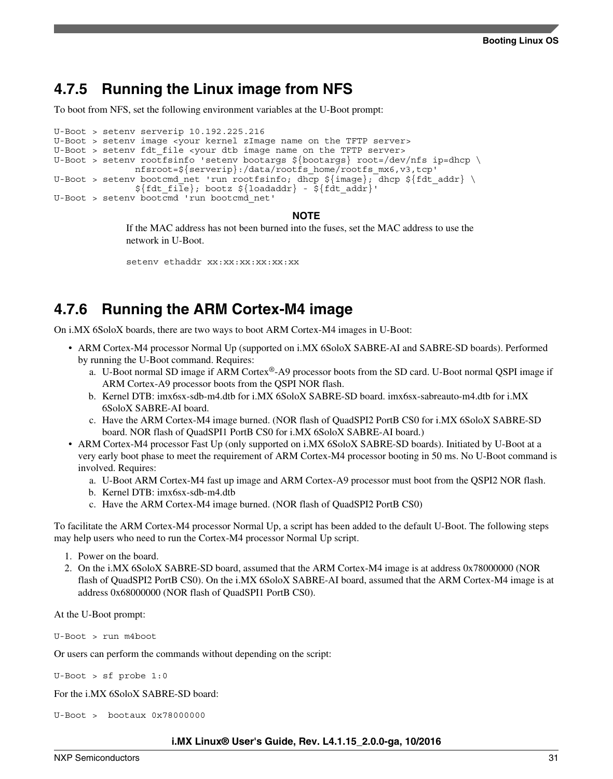### **4.7.5 Running the Linux image from NFS**

To boot from NFS, set the following environment variables at the U-Boot prompt:

```
U-Boot > setenv serverip 10.192.225.216
U-Boot > setenv image <your kernel zImage name on the TFTP server>
U-Boot > setenv fdt file <your dtb image name on the TFTP server>
U-Boot > setenv rootfsinfo 'setenv bootargs ${bootargs} root=/dev/nfs ip=dhcp \
                nfsroot=${serverip}:/data/rootfs_home/rootfs_mx6,v3,tcp'
U-Boot > setenv bootcmd net 'run rootfsinfo; dhcp \frac{1}{2}[mage}; dhcp \frac{1}{2}[fdt addr} \
               ${fdt _i}\; bootz ${loadaddr} - ${fdt _{addr}}'U-Boot > setenv bootcmd 'run bootcmd_net'
```
**NOTE**

If the MAC address has not been burned into the fuses, set the MAC address to use the network in U-Boot.

setenv ethaddr xx:xx:xx:xx:xx:xx

### **4.7.6 Running the ARM Cortex-M4 image**

On i.MX 6SoloX boards, there are two ways to boot ARM Cortex-M4 images in U-Boot:

- ARM Cortex-M4 processor Normal Up (supported on i.MX 6SoloX SABRE-AI and SABRE-SD boards). Performed by running the U-Boot command. Requires:
	- a. U-Boot normal SD image if ARM Cortex®-A9 processor boots from the SD card. U-Boot normal QSPI image if ARM Cortex-A9 processor boots from the QSPI NOR flash.
	- b. Kernel DTB: imx6sx-sdb-m4.dtb for i.MX 6SoloX SABRE-SD board. imx6sx-sabreauto-m4.dtb for i.MX 6SoloX SABRE-AI board.
	- c. Have the ARM Cortex-M4 image burned. (NOR flash of QuadSPI2 PortB CS0 for i.MX 6SoloX SABRE-SD board. NOR flash of QuadSPI1 PortB CS0 for i.MX 6SoloX SABRE-AI board.)
- ARM Cortex-M4 processor Fast Up (only supported on i.MX 6SoloX SABRE-SD boards). Initiated by U-Boot at a very early boot phase to meet the requirement of ARM Cortex-M4 processor booting in 50 ms. No U-Boot command is involved. Requires:
	- a. U-Boot ARM Cortex-M4 fast up image and ARM Cortex-A9 processor must boot from the QSPI2 NOR flash.
	- b. Kernel DTB: imx6sx-sdb-m4.dtb
	- c. Have the ARM Cortex-M4 image burned. (NOR flash of QuadSPI2 PortB CS0)

To facilitate the ARM Cortex-M4 processor Normal Up, a script has been added to the default U-Boot. The following steps may help users who need to run the Cortex-M4 processor Normal Up script.

- 1. Power on the board.
- 2. On the i.MX 6SoloX SABRE-SD board, assumed that the ARM Cortex-M4 image is at address 0x78000000 (NOR flash of QuadSPI2 PortB CS0). On the i.MX 6SoloX SABRE-AI board, assumed that the ARM Cortex-M4 image is at address 0x68000000 (NOR flash of QuadSPI1 PortB CS0).

At the U-Boot prompt:

U-Boot > run m4boot

Or users can perform the commands without depending on the script:

U-Boot > sf probe 1:0

For the i.MX 6SoloX SABRE-SD board:

U-Boot > bootaux 0x78000000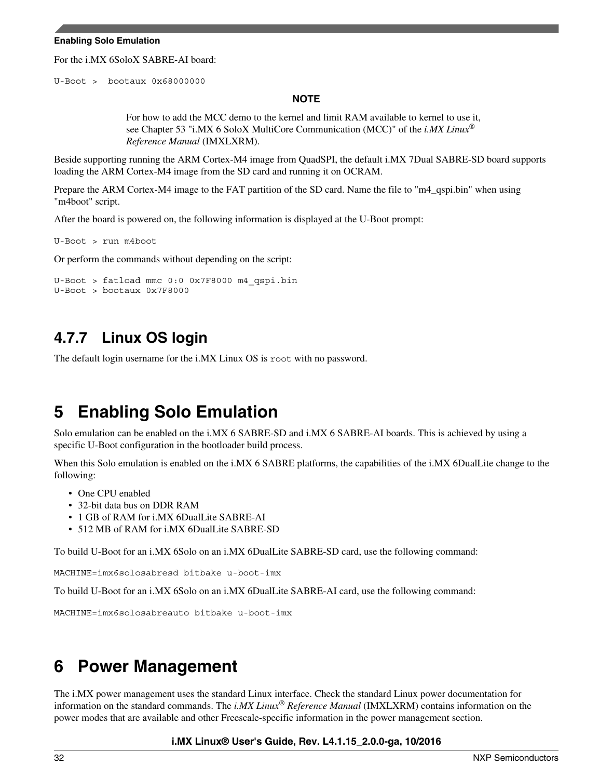#### <span id="page-31-0"></span>**Enabling Solo Emulation**

For the i.MX 6SoloX SABRE-AI board:

U-Boot > bootaux 0x68000000

#### **NOTE**

For how to add the MCC demo to the kernel and limit RAM available to kernel to use it, see Chapter 53 "i.MX 6 SoloX MultiCore Communication (MCC)" of the *i.MX Linux® Reference Manual* (IMXLXRM).

Beside supporting running the ARM Cortex-M4 image from QuadSPI, the default i.MX 7Dual SABRE-SD board supports loading the ARM Cortex-M4 image from the SD card and running it on OCRAM.

Prepare the ARM Cortex-M4 image to the FAT partition of the SD card. Name the file to "m4\_qspi.bin" when using "m4boot" script.

After the board is powered on, the following information is displayed at the U-Boot prompt:

U-Boot > run m4boot

Or perform the commands without depending on the script:

```
U-Boot > fatload mmc 0:0 0x7F8000 m4_qspi.bin
U-Boot > bootaux 0x7F8000
```
### **4.7.7 Linux OS login**

The default login username for the i.MX Linux OS is root with no password.

## **5 Enabling Solo Emulation**

Solo emulation can be enabled on the i.MX 6 SABRE-SD and i.MX 6 SABRE-AI boards. This is achieved by using a specific U-Boot configuration in the bootloader build process.

When this Solo emulation is enabled on the i.MX 6 SABRE platforms, the capabilities of the i.MX 6DualLite change to the following:

- One CPU enabled
- 32-bit data bus on DDR RAM
- 1 GB of RAM for i.MX 6DualLite SABRE-AI
- 512 MB of RAM for i.MX 6DualLite SABRE-SD

To build U-Boot for an i.MX 6Solo on an i.MX 6DualLite SABRE-SD card, use the following command:

MACHINE=imx6solosabresd bitbake u-boot-imx

To build U-Boot for an i.MX 6Solo on an i.MX 6DualLite SABRE-AI card, use the following command:

MACHINE=imx6solosabreauto bitbake u-boot-imx

## **6 Power Management**

The i.MX power management uses the standard Linux interface. Check the standard Linux power documentation for information on the standard commands. The *i.MX Linux® Reference Manual* (IMXLXRM) contains information on the power modes that are available and other Freescale-specific information in the power management section.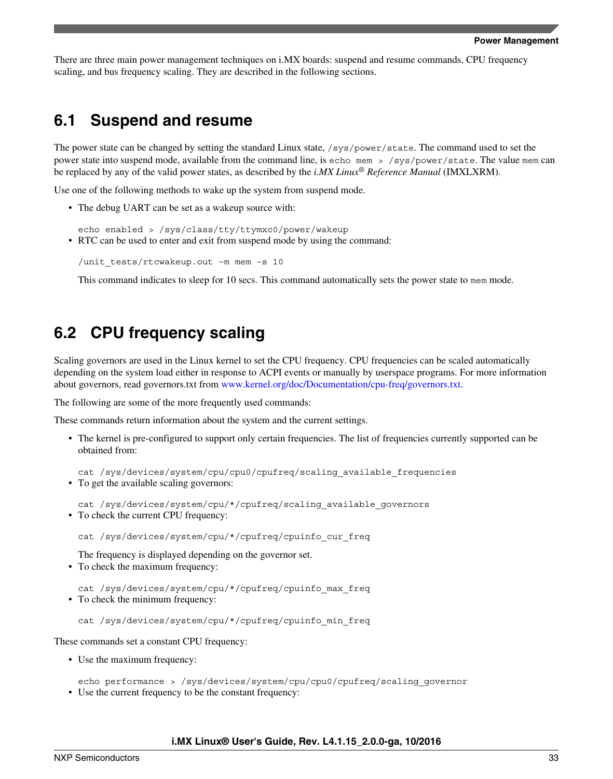There are three main power management techniques on i.MX boards: suspend and resume commands, CPU frequency scaling, and bus frequency scaling. They are described in the following sections.

### **6.1 Suspend and resume**

The power state can be changed by setting the standard Linux state, /sys/power/state. The command used to set the power state into suspend mode, available from the command line, is echo mem > /sys/power/state. The value mem can be replaced by any of the valid power states, as described by the *i.MX Linux® Reference Manual* (IMXLXRM).

Use one of the following methods to wake up the system from suspend mode.

• The debug UART can be set as a wakeup source with:

echo enabled > /sys/class/tty/ttymxc0/power/wakeup • RTC can be used to enter and exit from suspend mode by using the command:

```
/unit_tests/rtcwakeup.out –m mem –s 10
```
This command indicates to sleep for 10 secs. This command automatically sets the power state to mem mode.

### **6.2 CPU frequency scaling**

Scaling governors are used in the Linux kernel to set the CPU frequency. CPU frequencies can be scaled automatically depending on the system load either in response to ACPI events or manually by userspace programs. For more information about governors, read governors.txt from [www.kernel.org/doc/Documentation/cpu-freq/governors.txt](https://www.kernel.org/doc/Documentation/cpu-freq/governors.txt).

The following are some of the more frequently used commands:

These commands return information about the system and the current settings.

- The kernel is pre-configured to support only certain frequencies. The list of frequencies currently supported can be obtained from:
- cat /sys/devices/system/cpu/cpu0/cpufreq/scaling\_available\_frequencies • To get the available scaling governors:
- cat /sys/devices/system/cpu/\*/cpufreq/scaling\_available\_governors • To check the current CPU frequency:

cat /sys/devices/system/cpu/\*/cpufreq/cpuinfo\_cur\_freq

The frequency is displayed depending on the governor set.

• To check the maximum frequency:

cat /sys/devices/system/cpu/\*/cpufreq/cpuinfo\_max\_freq • To check the minimum frequency:

cat /sys/devices/system/cpu/\*/cpufreq/cpuinfo\_min\_freq

These commands set a constant CPU frequency:

• Use the maximum frequency:

echo performance > /sys/devices/system/cpu/cpu0/cpufreq/scaling\_governor

• Use the current frequency to be the constant frequency: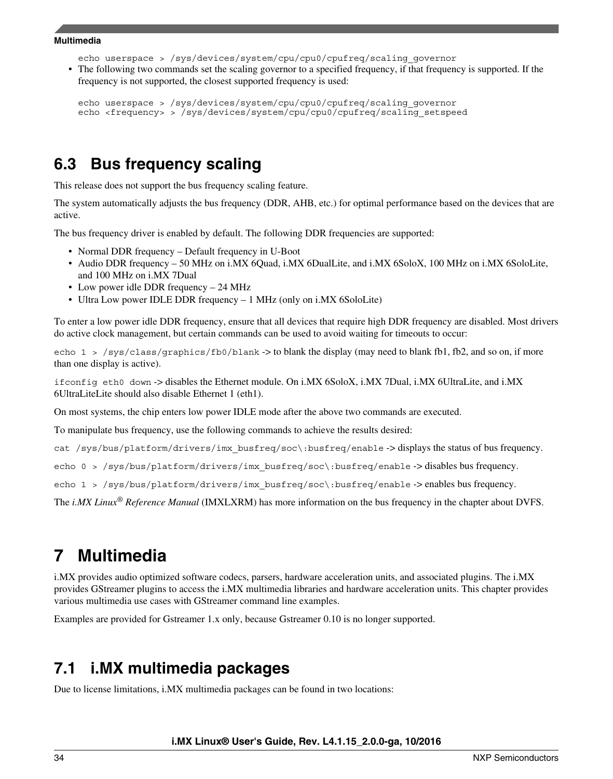echo userspace > /sys/devices/system/cpu/cpu0/cpufreq/scaling\_governor

<span id="page-33-0"></span>• The following two commands set the scaling governor to a specified frequency, if that frequency is supported. If the frequency is not supported, the closest supported frequency is used:

```
echo userspace > /sys/devices/system/cpu/cpu0/cpufreq/scaling_governor
echo <frequency> > /sys/devices/system/cpu/cpu0/cpufreq/scaling_setspeed
```
### **6.3 Bus frequency scaling**

This release does not support the bus frequency scaling feature.

The system automatically adjusts the bus frequency (DDR, AHB, etc.) for optimal performance based on the devices that are active.

The bus frequency driver is enabled by default. The following DDR frequencies are supported:

- Normal DDR frequency Default frequency in U-Boot
- Audio DDR frequency 50 MHz on i.MX 6Quad, i.MX 6DualLite, and i.MX 6SoloX, 100 MHz on i.MX 6SoloLite, and 100 MHz on i.MX 7Dual
- Low power idle DDR frequency 24 MHz
- Ultra Low power IDLE DDR frequency 1 MHz (only on i.MX 6SoloLite)

To enter a low power idle DDR frequency, ensure that all devices that require high DDR frequency are disabled. Most drivers do active clock management, but certain commands can be used to avoid waiting for timeouts to occur:

echo  $1 >$  /sys/class/graphics/fb0/blank -> to blank the display (may need to blank fb1, fb2, and so on, if more than one display is active).

ifconfig eth0 down -> disables the Ethernet module. On i.MX 6SoloX, i.MX 7Dual, i.MX 6UltraLite, and i.MX 6UltraLiteLite should also disable Ethernet 1 (eth1).

On most systems, the chip enters low power IDLE mode after the above two commands are executed.

To manipulate bus frequency, use the following commands to achieve the results desired:

cat /sys/bus/platform/drivers/imx\_busfreq/soc\:busfreq/enable -> displays the status of bus frequency.

echo 0 > /sys/bus/platform/drivers/imx\_busfreq/soc\:busfreq/enable -> disables bus frequency.

echo 1 > /sys/bus/platform/drivers/imx busfreq/soc\:busfreq/enable -> enables bus frequency.

The *i.MX Linux® Reference Manual* (IMXLXRM) has more information on the bus frequency in the chapter about DVFS.

## **7 Multimedia**

i.MX provides audio optimized software codecs, parsers, hardware acceleration units, and associated plugins. The i.MX provides GStreamer plugins to access the i.MX multimedia libraries and hardware acceleration units. This chapter provides various multimedia use cases with GStreamer command line examples.

Examples are provided for Gstreamer 1.x only, because Gstreamer 0.10 is no longer supported.

## **7.1 i.MX multimedia packages**

Due to license limitations, i.MX multimedia packages can be found in two locations: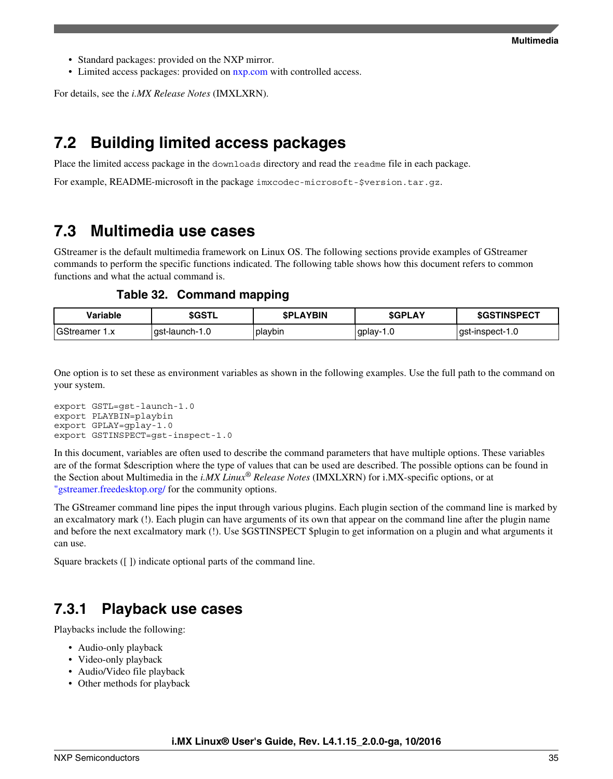- Standard packages: provided on the NXP mirror.
- Limited access packages: provided on [nxp.com](http://www.nxp.com) with controlled access.

For details, see the *i.MX Release Notes* (IMXLXRN).

## **7.2 Building limited access packages**

Place the limited access package in the downloads directory and read the readme file in each package.

For example, README-microsoft in the package imxcodec-microsoft-\$version.tar.gz.

### **7.3 Multimedia use cases**

GStreamer is the default multimedia framework on Linux OS. The following sections provide examples of GStreamer commands to perform the specific functions indicated. The following table shows how this document refers to common functions and what the actual command is.

**Table 32. Command mapping**

| Variable                  | <b>\$GSTL</b>  | <b>SPLAYBIN</b> | <b>SGPLAY</b>   | <b>\$GSTINSPECT</b> |
|---------------------------|----------------|-----------------|-----------------|---------------------|
| GStreamer<br>$\mathbf{v}$ | gst-launch-1.0 | playbin         | 1.0<br>⊺gplay-1 | $ $ qst-inspect-1.0 |

One option is to set these as environment variables as shown in the following examples. Use the full path to the command on your system.

```
export GSTL=gst-launch-1.0
export PLAYBIN=playbin
export GPLAY=gplay-1.0
export GSTINSPECT=gst-inspect-1.0
```
In this document, variables are often used to describe the command parameters that have multiple options. These variables are of the format \$description where the type of values that can be used are described. The possible options can be found in the Section about Multimedia in the *i.MX Linux® Release Notes* (IMXLXRN) for i.MX-specific options, or at ["gstreamer.freedesktop.org/](http://gstreamer.freedesktop.org/) for the community options.

The GStreamer command line pipes the input through various plugins. Each plugin section of the command line is marked by an excalmatory mark (!). Each plugin can have arguments of its own that appear on the command line after the plugin name and before the next excalmatory mark (!). Use \$GSTINSPECT \$plugin to get information on a plugin and what arguments it can use.

Square brackets ([ ]) indicate optional parts of the command line.

### **7.3.1 Playback use cases**

Playbacks include the following:

- Audio-only playback
- Video-only playback
- Audio/Video file playback
- Other methods for playback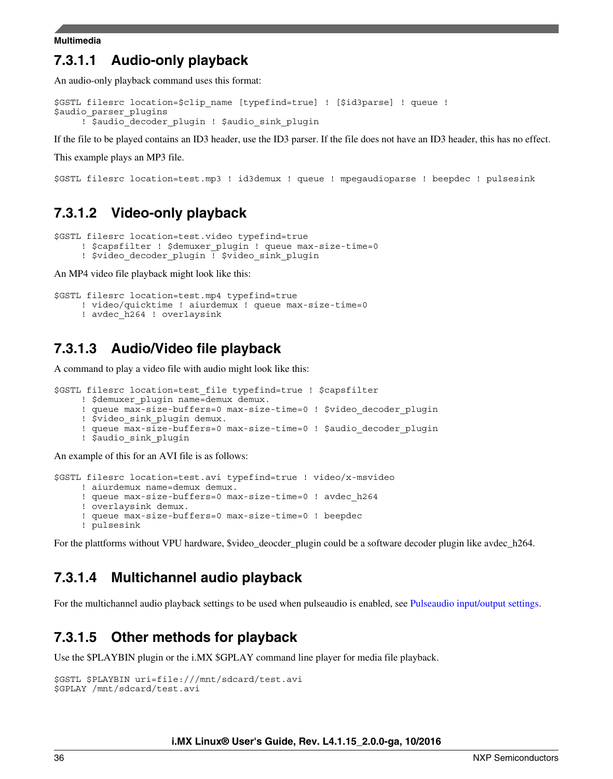### **7.3.1.1 Audio-only playback**

An audio-only playback command uses this format:

```
$GSTL filesrc location=$clip_name [typefind=true] ! [$id3parse] ! queue ! 
$audio_parser_plugins
     ! $audio decoder plugin ! $audio sink plugin
```
If the file to be played contains an ID3 header, use the ID3 parser. If the file does not have an ID3 header, this has no effect.

This example plays an MP3 file.

\$GSTL filesrc location=test.mp3 ! id3demux ! queue ! mpegaudioparse ! beepdec ! pulsesink

### **7.3.1.2 Video-only playback**

```
$GSTL filesrc location=test.video typefind=true 
     ! $capsfilter ! $demuxer plugin ! queue max-size-time=0
```
! \$video decoder plugin ! \$video sink plugin

An MP4 video file playback might look like this:

```
$GSTL filesrc location=test.mp4 typefind=true 
      ! video/quicktime ! aiurdemux ! queue max-size-time=0
      ! avdec_h264 ! overlaysink
```
### **7.3.1.3 Audio/Video file playback**

A command to play a video file with audio might look like this:

```
$GSTL filesrc location=test_file typefind=true ! $capsfilter 
      ! $demuxer_plugin name=demux demux. 
     ! queue max-size-buffers=0 max-size-time=0 ! $video_decoder_plugin
      ! $video_sink_plugin demux. 
     ! queue max-size-buffers=0 max-size-time=0 ! $audio decoder plugin
      ! $audio_sink_plugin
```
An example of this for an AVI file is as follows:

```
$GSTL filesrc location=test.avi typefind=true ! video/x-msvideo 
      ! aiurdemux name=demux demux.
      ! queue max-size-buffers=0 max-size-time=0 ! avdec_h264 
      ! overlaysink demux. 
      ! queue max-size-buffers=0 max-size-time=0 ! beepdec 
      ! pulsesink
```
For the plattforms without VPU hardware, \$video\_deocder\_plugin could be a software decoder plugin like avdec\_h264.

### **7.3.1.4 Multichannel audio playback**

For the multichannel audio playback settings to be used when pulseaudio is enabled, see [Pulseaudio input/output settings](#page-41-0).

### **7.3.1.5 Other methods for playback**

Use the \$PLAYBIN plugin or the i.MX \$GPLAY command line player for media file playback.

```
$GSTL $PLAYBIN uri=file:///mnt/sdcard/test.avi
$GPLAY /mnt/sdcard/test.avi
```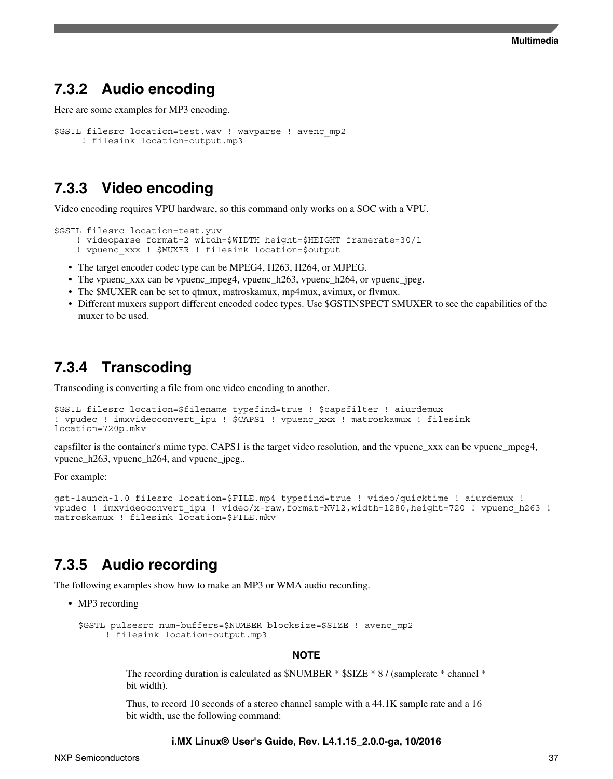### **7.3.2 Audio encoding**

```
Here are some examples for MP3 encoding.
```

```
$GSTL filesrc location=test.wav ! wavparse ! avenc_mp2 
      ! filesink location=output.mp3
```
### **7.3.3 Video encoding**

Video encoding requires VPU hardware, so this command only works on a SOC with a VPU.

```
$GSTL filesrc location=test.yuv 
    ! videoparse format=2 witdh=$WIDTH height=$HEIGHT framerate=30/1 
    ! vpuenc_xxx ! $MUXER ! filesink location=$output
```
- The target encoder codec type can be MPEG4, H263, H264, or MJPEG.
- The vpuenc\_xxx can be vpuenc\_mpeg4, vpuenc\_h263, vpuenc\_h264, or vpuenc\_jpeg.
- The \$MUXER can be set to qtmux, matroskamux, mp4mux, avimux, or flvmux.
- Different muxers support different encoded codec types. Use \$GSTINSPECT \$MUXER to see the capabilities of the muxer to be used.

### **7.3.4 Transcoding**

Transcoding is converting a file from one video encoding to another.

```
$GSTL filesrc location=$filename typefind=true ! $capsfilter ! aiurdemux
! vpudec ! imxvideoconvert_ipu ! $CAPS1 ! vpuenc_xxx ! matroskamux ! filesink 
location=720p.mkv
```
capsfilter is the container's mime type. CAPS1 is the target video resolution, and the vpuenc\_xxx can be vpuenc\_mpeg4, vpuenc\_h263, vpuenc\_h264, and vpuenc\_jpeg..

For example:

```
gst-launch-1.0 filesrc location=$FILE.mp4 typefind=true ! video/quicktime ! aiurdemux ! 
vpudec ! imxvideoconvert ipu ! video/x-raw,format=NV12,width=1280,height=720 ! vpuenc h263 !
matroskamux ! filesink location = $FILE.mkv
```
### **7.3.5 Audio recording**

The following examples show how to make an MP3 or WMA audio recording.

• MP3 recording

```
$GSTL pulsesrc num-buffers=$NUMBER blocksize=$SIZE ! avenc_mp2
      ! filesink location=output.mp3
```
#### **NOTE**

The recording duration is calculated as \$NUMBER \* \$SIZE \* 8 / (samplerate \* channel \* bit width).

Thus, to record 10 seconds of a stereo channel sample with a 44.1K sample rate and a 16 bit width, use the following command: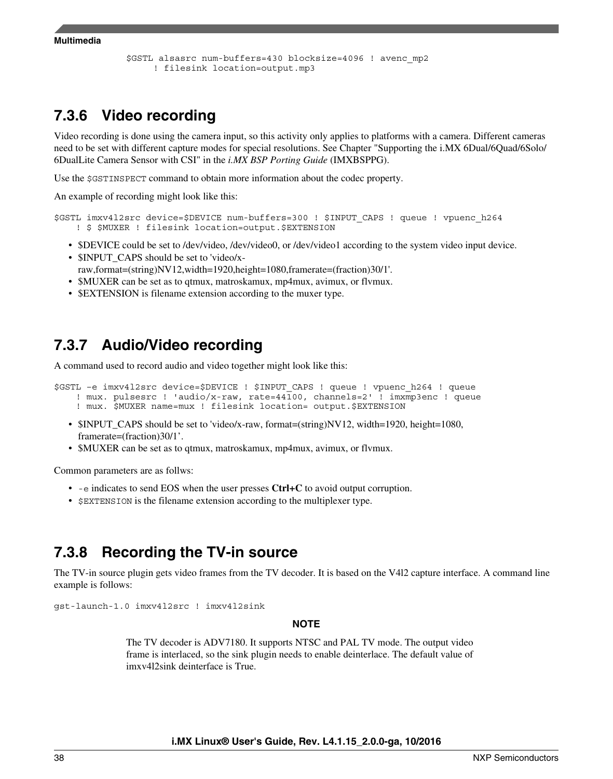```
Multimedia
```

```
$GSTL alsasrc num-buffers=430 blocksize=4096 ! avenc_mp2
      ! filesink location=output.mp3
```
### **7.3.6 Video recording**

Video recording is done using the camera input, so this activity only applies to platforms with a camera. Different cameras need to be set with different capture modes for special resolutions. See Chapter "Supporting the i.MX 6Dual/6Quad/6Solo/ 6DualLite Camera Sensor with CSI" in the *i.MX BSP Porting Guide* (IMXBSPPG).

Use the \$GSTINSPECT command to obtain more information about the codec property.

An example of recording might look like this:

```
$GSTL imxv4l2src device=$DEVICE num-buffers=300 ! $INPUT_CAPS ! queue ! vpuenc_h264
     ! $ $MUXER ! filesink location=output.$EXTENSION
```
- \$DEVICE could be set to /dev/video, /dev/video0, or /dev/video1 according to the system video input device.
- \$INPUT\_CAPS should be set to 'video/xraw,format=(string)NV12,width=1920,height=1080,framerate=(fraction)30/1'.
- \$MUXER can be set as to qtmux, matroskamux, mp4mux, avimux, or flvmux.
- \$EXTENSION is filename extension according to the muxer type.

### **7.3.7 Audio/Video recording**

A command used to record audio and video together might look like this:

\$GSTL –e imxv4l2src device=\$DEVICE ! \$INPUT\_CAPS ! queue ! vpuenc\_h264 ! queue ! mux. pulsesrc ! 'audio/x-raw, rate=44100, channels=2' ! imxmp3enc ! queue ! mux. \$MUXER name=mux ! filesink location= output.\$EXTENSION

- \$INPUT\_CAPS should be set to 'video/x-raw, format=(string)NV12, width=1920, height=1080, framerate=(fraction)30/1'.
- \$MUXER can be set as to qtmux, matroskamux, mp4mux, avimux, or flvmux.

Common parameters are as follws:

- -e indicates to send EOS when the user presses **Ctrl+C** to avoid output corruption.
- **SEXTENSION** is the filename extension according to the multiplexer type.

### **7.3.8 Recording the TV-in source**

The TV-in source plugin gets video frames from the TV decoder. It is based on the V4l2 capture interface. A command line example is follows:

gst-launch-1.0 imxv4l2src ! imxv4l2sink

#### **NOTE**

The TV decoder is ADV7180. It supports NTSC and PAL TV mode. The output video frame is interlaced, so the sink plugin needs to enable deinterlace. The default value of imxv4l2sink deinterface is True.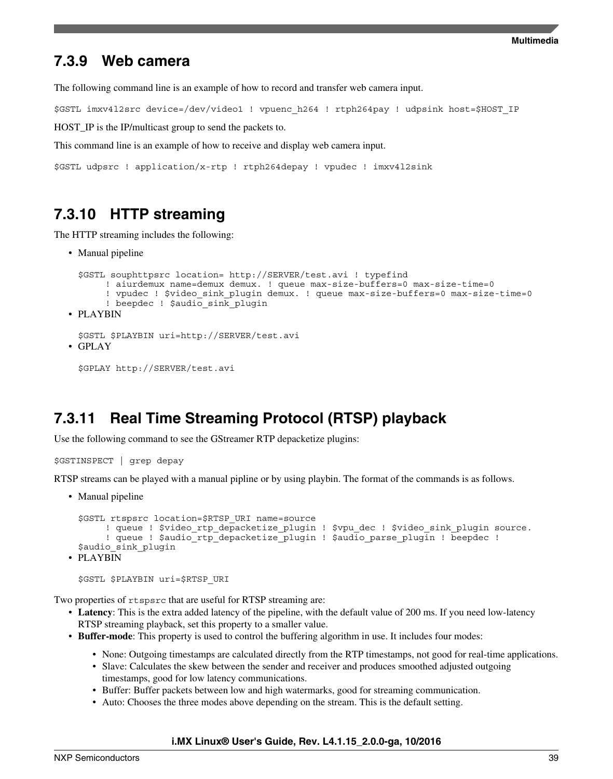### **7.3.9 Web camera**

The following command line is an example of how to record and transfer web camera input.

\$GSTL imxv4l2src device=/dev/video1 ! vpuenc\_h264 ! rtph264pay ! udpsink host=\$HOST\_IP

HOST\_IP is the IP/multicast group to send the packets to.

This command line is an example of how to receive and display web camera input.

```
$GSTL udpsrc ! application/x-rtp ! rtph264depay ! vpudec ! imxv4l2sink
```
### **7.3.10 HTTP streaming**

The HTTP streaming includes the following:

• Manual pipeline

```
$GSTL souphttpsrc location= http://SERVER/test.avi ! typefind 
        ! aiurdemux name=demux demux. ! queue max-size-buffers=0 max-size-time=0
        ! vpudec ! $video_sink_plugin demux. ! queue max-size-buffers=0 max-size-time=0
        ! beepdec ! $audio_sink_plugin
• PLAYBIN
 $GSTL $PLAYBIN uri=http://SERVER/test.avi
```

```
• GPLAY
```

```
$GPLAY http://SERVER/test.avi
```
### **7.3.11 Real Time Streaming Protocol (RTSP) playback**

Use the following command to see the GStreamer RTP depacketize plugins:

```
$GSTINSPECT | grep depay
```
RTSP streams can be played with a manual pipline or by using playbin. The format of the commands is as follows.

• Manual pipeline

```
$GSTL rtspsrc location=$RTSP_URI name=source 
      ! queue ! $video rtp depacketize plugin ! $vpu dec ! $video sink plugin source.
      ! queue ! $audio_rtp_depacketize_plugin ! $audio parse plugin ! beepdec !
 $audio_sink_plugin 
• PLAYBIN
```

```
$GSTL $PLAYBIN uri=$RTSP_URI
```
Two properties of rtspsrc that are useful for RTSP streaming are:

- **Latency**: This is the extra added latency of the pipeline, with the default value of 200 ms. If you need low-latency RTSP streaming playback, set this property to a smaller value.
- **Buffer-mode**: This property is used to control the buffering algorithm in use. It includes four modes:
	- None: Outgoing timestamps are calculated directly from the RTP timestamps, not good for real-time applications.
	- Slave: Calculates the skew between the sender and receiver and produces smoothed adjusted outgoing timestamps, good for low latency communications.
	- Buffer: Buffer packets between low and high watermarks, good for streaming communication.
	- Auto: Chooses the three modes above depending on the stream. This is the default setting.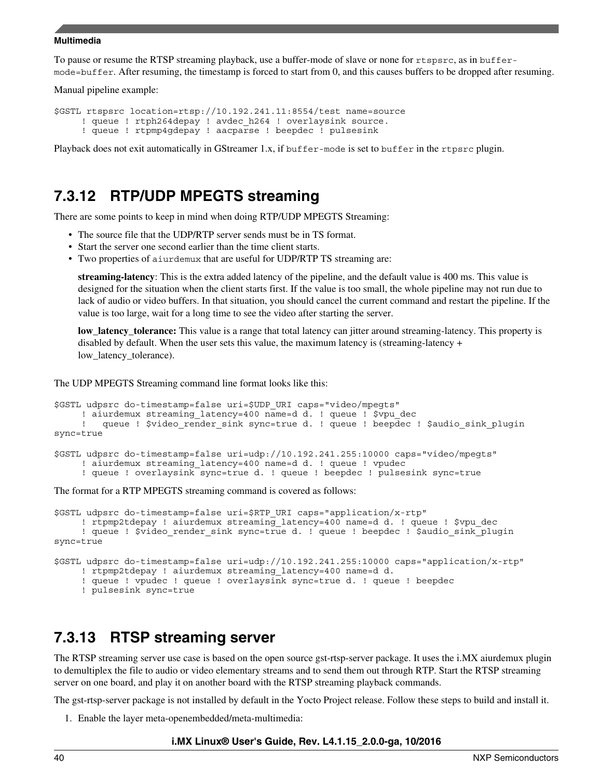To pause or resume the RTSP streaming playback, use a buffer-mode of slave or none for rtspsrc, as in buffermode=buffer. After resuming, the timestamp is forced to start from 0, and this causes buffers to be dropped after resuming.

Manual pipeline example:

```
$GSTL rtspsrc location=rtsp://10.192.241.11:8554/test name=source
      ! queue ! rtph264depay ! avdec_h264 ! overlaysink source.
      ! queue ! rtpmp4gdepay ! aacparse ! beepdec ! pulsesink
```
Playback does not exit automatically in GStreamer 1.x, if buffer-mode is set to buffer in the rtpsrc plugin.

### **7.3.12 RTP/UDP MPEGTS streaming**

There are some points to keep in mind when doing RTP/UDP MPEGTS Streaming:

- The source file that the UDP/RTP server sends must be in TS format.
- Start the server one second earlier than the time client starts.
- Two properties of aiurdemux that are useful for UDP/RTP TS streaming are:

**streaming-latency**: This is the extra added latency of the pipeline, and the default value is 400 ms. This value is designed for the situation when the client starts first. If the value is too small, the whole pipeline may not run due to lack of audio or video buffers. In that situation, you should cancel the current command and restart the pipeline. If the value is too large, wait for a long time to see the video after starting the server.

**low\_latency\_tolerance:** This value is a range that total latency can jitter around streaming-latency. This property is disabled by default. When the user sets this value, the maximum latency is (streaming-latency + low latency tolerance).

The UDP MPEGTS Streaming command line format looks like this:

```
$GSTL udpsrc do-timestamp=false uri=$UDP_URI caps="video/mpegts"
      ! aiurdemux streaming_latency=400 name=d d. ! queue ! $vpu_dec
         queue ! $video render sink sync=true d. ! queue ! beepdec ! $audio sink plugin
sync=true 
$GSTL udpsrc do-timestamp=false uri=udp://10.192.241.255:10000 caps="video/mpegts" 
      ! aiurdemux streaming_latency=400 name=d d. ! queue ! vpudec 
      ! queue ! overlaysink sync=true d. ! queue ! beepdec ! pulsesink sync=true 
The format for a RTP MPEGTS streaming command is covered as follows:
```

```
$GSTL udpsrc do-timestamp=false uri=$RTP_URI caps="application/x-rtp"
      ! rtpmp2tdepay ! aiurdemux streaming_latency=400 name=d d. ! queue ! $vpu_dec 
     ! queue ! $video render sink sync=true d. ! queue ! beepdec ! $audio sink plugin
sync=true 
$GSTL udpsrc do-timestamp=false uri=udp://10.192.241.255:10000 caps="application/x-rtp"
      ! rtpmp2tdepay ! aiurdemux streaming_latency=400 name=d d.
      ! queue ! vpudec ! queue ! overlaysink sync=true d. ! queue ! beepdec 
      ! pulsesink sync=true
```
### **7.3.13 RTSP streaming server**

The RTSP streaming server use case is based on the open source gst-rtsp-server package. It uses the i.MX aiurdemux plugin to demultiplex the file to audio or video elementary streams and to send them out through RTP. Start the RTSP streaming server on one board, and play it on another board with the RTSP streaming playback commands.

The gst-rtsp-server package is not installed by default in the Yocto Project release. Follow these steps to build and install it.

1. Enable the layer meta-openembedded/meta-multimedia: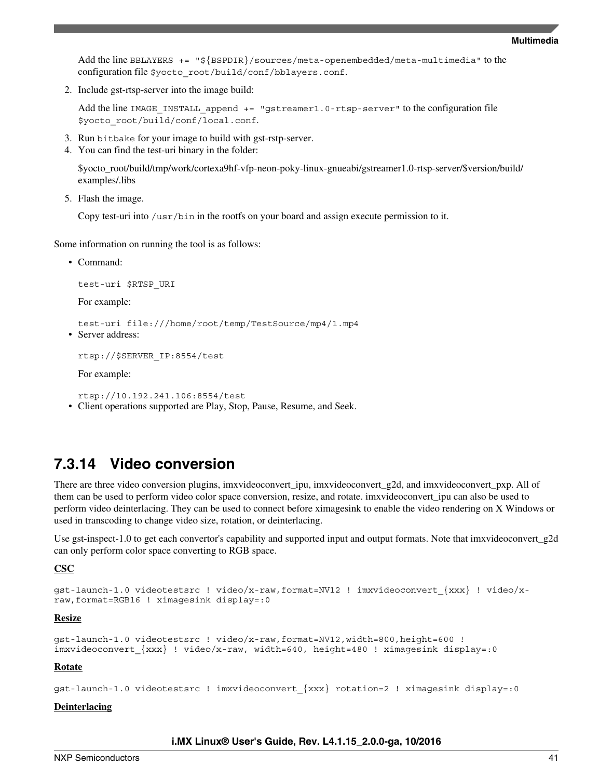Add the line BBLAYERS  $+=$  " $\frac{5}{8}$ BSPDIR}/sources/meta-openembedded/meta-multimedia" to the configuration file \$yocto\_root/build/conf/bblayers.conf.

2. Include gst-rtsp-server into the image build:

Add the line IMAGE\_INSTALL\_append += "gstreamer1.0-rtsp-server" to the configuration file \$yocto\_root/build/conf/local.conf.

- 3. Run bitbake for your image to build with gst-rstp-server.
- 4. You can find the test-uri binary in the folder:

\$yocto\_root/build/tmp/work/cortexa9hf-vfp-neon-poky-linux-gnueabi/gstreamer1.0-rtsp-server/\$version/build/ examples/.libs

5. Flash the image.

Copy test-uri into /usr/bin in the rootfs on your board and assign execute permission to it.

Some information on running the tool is as follows:

• Command:

test-uri \$RTSP\_URI

For example:

```
test-uri file:///home/root/temp/TestSource/mp4/1.mp4
```
• Server address:

rtsp://\$SERVER\_IP:8554/test

For example:

rtsp://10.192.241.106:8554/test

• Client operations supported are Play, Stop, Pause, Resume, and Seek.

### **7.3.14 Video conversion**

There are three video conversion plugins, imxvideoconvert\_ipu, imxvideoconvert\_g2d, and imxvideoconvert\_pxp. All of them can be used to perform video color space conversion, resize, and rotate. imxvideoconvert\_ipu can also be used to perform video deinterlacing. They can be used to connect before ximagesink to enable the video rendering on X Windows or used in transcoding to change video size, rotation, or deinterlacing.

Use gst-inspect-1.0 to get each convertor's capability and supported input and output formats. Note that imxvideoconvert\_g2d can only perform color space converting to RGB space.

**CSC**

```
gst-launch-1.0 videotestsrc ! video/x-raw,format=NV12 ! imxvideoconvert_{xxx} ! video/x-
raw,format=RGB16 ! ximagesink display=:0
```
#### **Resize**

```
gst-launch-1.0 videotestsrc ! video/x-raw,format=NV12,width=800,height=600 ! 
imxvideoconvert_{xxx} ! video/x-raw, width=640, height=480 ! ximagesink display=:0
```
#### **Rotate**

```
gst-launch-1.0 videotestsrc ! imxvideoconvert_{xxx} rotation=2 ! ximagesink display=:0
```
#### **Deinterlacing**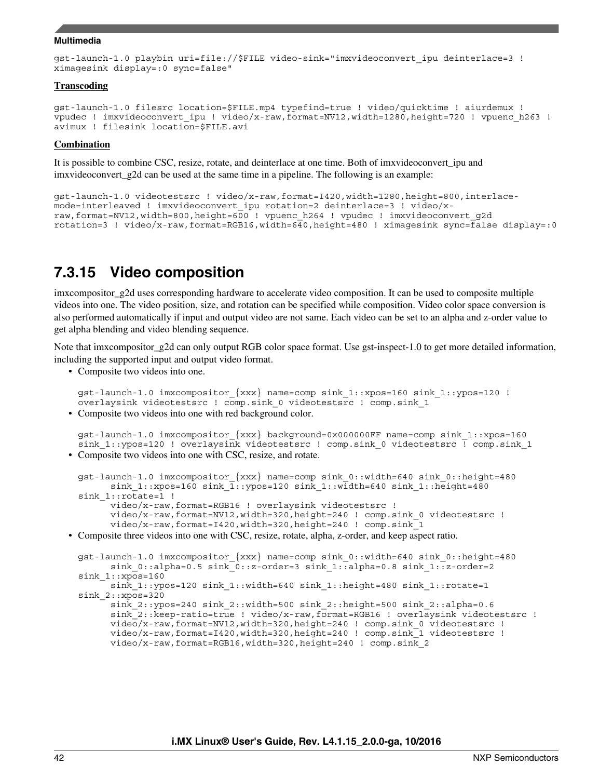```
gst-launch-1.0 playbin uri=file://$FILE video-sink="imxvideoconvert_ipu deinterlace=3 ! 
ximagesink display=:0 sync=false"
```
#### **Transcoding**

```
gst-launch-1.0 filesrc location=$FILE.mp4 typefind=true ! video/quicktime ! aiurdemux ! 
vpudec ! imxvideoconvert_ipu ! video/x-raw,format=NV12,width=1280,height=720 ! vpuenc_h263 ! 
avimux ! filesink location=$FILE.avi
```
#### **Combination**

It is possible to combine CSC, resize, rotate, and deinterlace at one time. Both of imxvideoconvert\_ipu and imxvideoconvert\_g2d can be used at the same time in a pipeline. The following is an example:

```
gst-launch-1.0 videotestsrc ! video/x-raw,format=I420,width=1280,height=800,interlace-
mode=interleaved ! imxvideoconvert_ipu rotation=2 deinterlace=3 ! video/x-
raw,format=NV12,width=800,height=600 ! vpuenc_h264 ! vpudec ! imxvideoconvert_g2d 
rotation=3 ! video/x-raw,format=RGB16,width=640,height=480 ! ximagesink sync=false display=:0
```
### **7.3.15 Video composition**

imxcompositor\_g2d uses corresponding hardware to accelerate video composition. It can be used to composite multiple videos into one. The video position, size, and rotation can be specified while composition. Video color space conversion is also performed automatically if input and output video are not same. Each video can be set to an alpha and z-order value to get alpha blending and video blending sequence.

Note that imxcompositor\_g2d can only output RGB color space format. Use gst-inspect-1.0 to get more detailed information, including the supported input and output video format.

• Composite two videos into one.

```
gst-launch-1.0 imxcompositor_{xxx} name=comp sink_1::xpos=160 sink_1::ypos=120 ! 
overlaysink videotestsrc ! comp.sink_0 videotestsrc ! comp.sink_1
```
• Composite two videos into one with red background color.

gst-launch-1.0 imxcompositor\_{xxx} background=0x000000FF name=comp sink\_1::xpos=160 sink 1::ypos=120 ! overlaysink videotestsrc ! comp.sink 0 videotestsrc ! comp.sink 1 • Composite two videos into one with CSC, resize, and rotate.

```
gst-launch-1.0 imxcompositor_{xxx} name=comp sink_0::width=640 sink_0::height=480
       sink_1::xpos=160 sink_1::ypos=120 sink_1::width=640 sink_1::height=480 
sink 1::rotate=1 !
       video/x-raw,format=RGB16 ! overlaysink videotestsrc !
       video/x-raw,format=NV12,width=320,height=240 ! comp.sink_0 videotestsrc !
       video/x-raw,format=I420,width=320,height=240 ! comp.sink_1
```
• Composite three videos into one with CSC, resize, rotate, alpha, z-order, and keep aspect ratio.

```
gst-launch-1.0 imxcompositor_{xxx} name=comp sink_0::width=640 sink_0::height=480
      sink 0::alpha=0.5 sink 0::z-order=3 sink 1::alpha=0.8 sink 1::z-order=2sink 1::xpos=160
      sink 1::ypos=120 sink 1::width=640 sink 1::height=480 sink 1::rotate=1
sink_2::xpos=320
       sink_2::ypos=240 sink_2::width=500 sink_2::height=500 sink_2::alpha=0.6
      sink 2::keep-ratio=true ! video/x-raw,format=RGB16 ! overlaysink videotestsrc !
       video/x-raw,format=NV12,width=320,height=240 ! comp.sink_0 videotestsrc !
       video/x-raw,format=I420,width=320,height=240 ! comp.sink_1 videotestsrc !
       video/x-raw,format=RGB16,width=320,height=240 ! comp.sink_2
```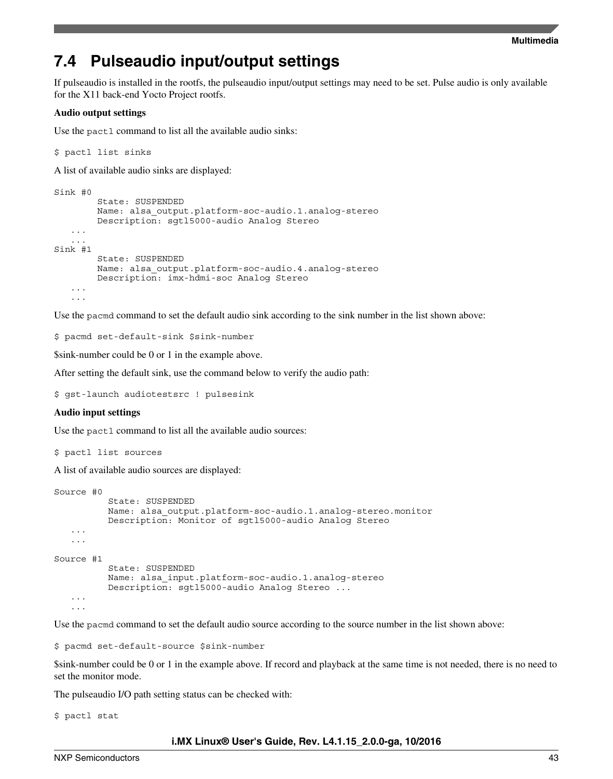## **7.4 Pulseaudio input/output settings**

If pulseaudio is installed in the rootfs, the pulseaudio input/output settings may need to be set. Pulse audio is only available for the X11 back-end Yocto Project rootfs.

#### **Audio output settings**

Use the pactl command to list all the available audio sinks:

\$ pactl list sinks

A list of available audio sinks are displayed:

```
Sink #0
         State: SUSPENDED
         Name: alsa_output.platform-soc-audio.1.analog-stereo
         Description: sgtl5000-audio Analog Stereo
    ...
 ...
Sink #1
         State: SUSPENDED
         Name: alsa_output.platform-soc-audio.4.analog-stereo
         Description: imx-hdmi-soc Analog Stereo
    ...
    ...
```
Use the pacmd command to set the default audio sink according to the sink number in the list shown above:

\$ pacmd set-default-sink \$sink-number

\$sink-number could be 0 or 1 in the example above.

After setting the default sink, use the command below to verify the audio path:

\$ gst-launch audiotestsrc ! pulsesink

#### **Audio input settings**

Use the pactl command to list all the available audio sources:

```
$ pactl list sources
```
A list of available audio sources are displayed:

```
Source #0
           State: SUSPENDED
           Name: alsa_output.platform-soc-audio.1.analog-stereo.monitor
           Description: Monitor of sgtl5000-audio Analog Stereo
    ...
    ...
Source #1
           State: SUSPENDED
           Name: alsa_input.platform-soc-audio.1.analog-stereo
           Description: sgtl5000-audio Analog Stereo ...
    ...
 ...
```
Use the pacmd command to set the default audio source according to the source number in the list shown above:

\$ pacmd set-default-source \$sink-number

\$sink-number could be 0 or 1 in the example above. If record and playback at the same time is not needed, there is no need to set the monitor mode.

The pulseaudio I/O path setting status can be checked with:

\$ pactl stat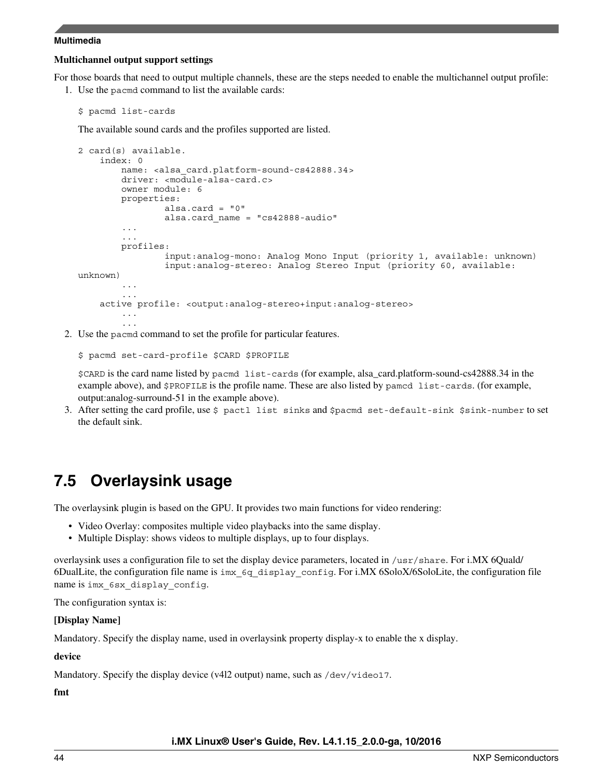#### **Multichannel output support settings**

For those boards that need to output multiple channels, these are the steps needed to enable the multichannel output profile: 1. Use the pacmd command to list the available cards:

```
$ pacmd list-cards
```
The available sound cards and the profiles supported are listed.

```
2 card(s) available.
     index: 0
        name: <alsa card.platform-sound-cs42888.34>
         driver: <module-alsa-card.c>
         owner module: 6
         properties:
                alsa.card = 0"
                 alsa.card_name = "cs42888-audio"
         ...
         profiles:
                  input:analog-mono: Analog Mono Input (priority 1, available: unknown)
                  input:analog-stereo: Analog Stereo Input (priority 60, available: 
unknown)
         ...
    active profile: < output:analog-stereo+input:analog-stereo>
         ...
         ...
```
2. Use the pacmd command to set the profile for particular features.

\$ pacmd set-card-profile \$CARD \$PROFILE

\$CARD is the card name listed by pacmd list-cards (for example, alsa\_card.platform-sound-cs42888.34 in the example above), and \$PROFILE is the profile name. These are also listed by pamcd list-cards. (for example, output:analog-surround-51 in the example above).

3. After setting the card profile, use \$ pactl list sinks and \$pacmd set-default-sink \$sink-number to set the default sink.

## **7.5 Overlaysink usage**

The overlaysink plugin is based on the GPU. It provides two main functions for video rendering:

- Video Overlay: composites multiple video playbacks into the same display.
- Multiple Display: shows videos to multiple displays, up to four displays.

overlaysink uses a configuration file to set the display device parameters, located in /usr/share. For i.MX 6Quald/ 6DualLite, the configuration file name is imx\_6q\_display\_config. For i.MX 6SoloX/6SoloLite, the configuration file name is imx\_6sx\_display\_config.

The configuration syntax is:

#### **[Display Name]**

Mandatory. Specify the display name, used in overlaysink property display-x to enable the x display.

#### **device**

Mandatory. Specify the display device (v412 output) name, such as /dev/video17.

**fmt**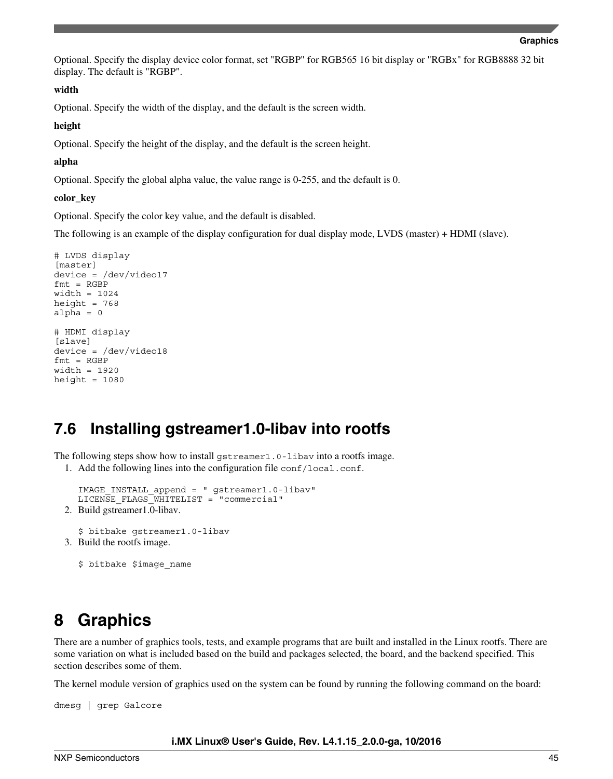<span id="page-44-0"></span>Optional. Specify the display device color format, set "RGBP" for RGB565 16 bit display or "RGBx" for RGB8888 32 bit display. The default is "RGBP".

#### **width**

Optional. Specify the width of the display, and the default is the screen width.

#### **height**

Optional. Specify the height of the display, and the default is the screen height.

#### **alpha**

Optional. Specify the global alpha value, the value range is 0-255, and the default is 0.

#### **color\_key**

Optional. Specify the color key value, and the default is disabled.

The following is an example of the display configuration for dual display mode, LVDS (master) + HDMI (slave).

```
# LVDS display 
[master] 
device = /dev/video17 
fmt = RGBPwidth = 1024 
height = 768alpha = 0 
# HDMI display 
[slave]
device = /dev/video18 
fmt = RGBPwidth = 1920 
height = 1080
```
### **7.6 Installing gstreamer1.0-libav into rootfs**

The following steps show how to install gstreamer1.0-libav into a rootfs image.

1. Add the following lines into the configuration file conf/local.conf.

```
IMAGE_INSTALL_append = " gstreamer1.0-libav" 
LICENSE_FLAGS_WHITELIST = "commercial"
```
2. Build gstreamer1.0-libav.

\$ bitbake gstreamer1.0-libav

3. Build the rootfs image.

\$ bitbake \$image name

## **8 Graphics**

There are a number of graphics tools, tests, and example programs that are built and installed in the Linux rootfs. There are some variation on what is included based on the build and packages selected, the board, and the backend specified. This section describes some of them.

The kernel module version of graphics used on the system can be found by running the following command on the board:

dmesg | grep Galcore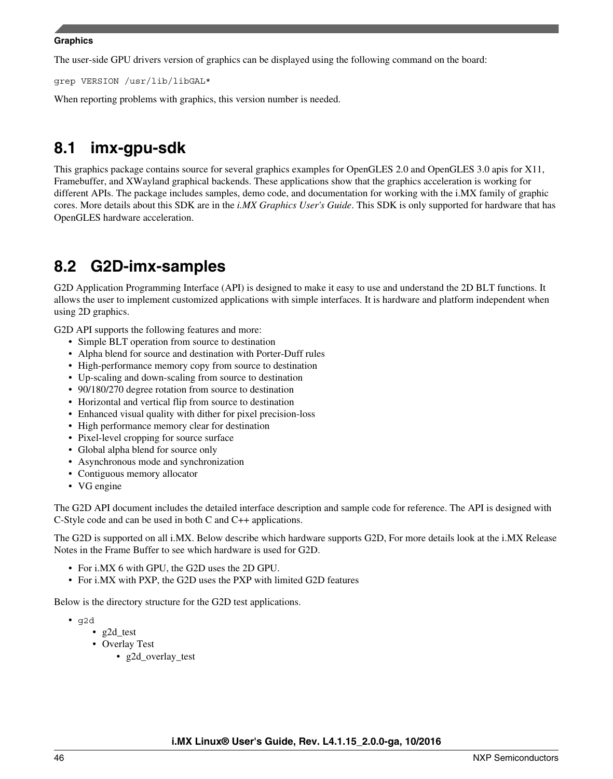### **Graphics**

The user-side GPU drivers version of graphics can be displayed using the following command on the board:

grep VERSION /usr/lib/libGAL\*

When reporting problems with graphics, this version number is needed.

## **8.1 imx-gpu-sdk**

This graphics package contains source for several graphics examples for OpenGLES 2.0 and OpenGLES 3.0 apis for X11, Framebuffer, and XWayland graphical backends. These applications show that the graphics acceleration is working for different APIs. The package includes samples, demo code, and documentation for working with the i.MX family of graphic cores. More details about this SDK are in the *i.MX Graphics User's Guide*. This SDK is only supported for hardware that has OpenGLES hardware acceleration.

## **8.2 G2D-imx-samples**

G2D Application Programming Interface (API) is designed to make it easy to use and understand the 2D BLT functions. It allows the user to implement customized applications with simple interfaces. It is hardware and platform independent when using 2D graphics.

G2D API supports the following features and more:

- Simple BLT operation from source to destination
- Alpha blend for source and destination with Porter-Duff rules
- High-performance memory copy from source to destination
- Up-scaling and down-scaling from source to destination
- 90/180/270 degree rotation from source to destination
- Horizontal and vertical flip from source to destination
- Enhanced visual quality with dither for pixel precision-loss
- High performance memory clear for destination
- Pixel-level cropping for source surface
- Global alpha blend for source only
- Asynchronous mode and synchronization
- Contiguous memory allocator
- VG engine

The G2D API document includes the detailed interface description and sample code for reference. The API is designed with C-Style code and can be used in both C and C++ applications.

The G2D is supported on all i.MX. Below describe which hardware supports G2D, For more details look at the i.MX Release Notes in the Frame Buffer to see which hardware is used for G2D.

- For i.MX 6 with GPU, the G2D uses the 2D GPU.
- For i.MX with PXP, the G2D uses the PXP with limited G2D features

Below is the directory structure for the G2D test applications.

- g2d
	- g2d\_test
	- Overlay Test
		- g2d overlay test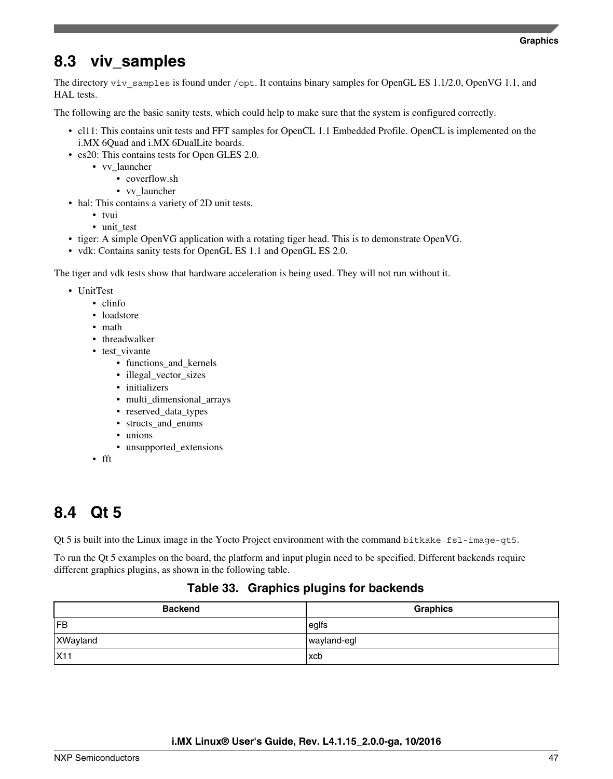## **8.3 viv\_samples**

The directory viv samples is found under /opt. It contains binary samples for OpenGL ES 1.1/2.0, OpenVG 1.1, and HAL tests.

The following are the basic sanity tests, which could help to make sure that the system is configured correctly.

- cl11: This contains unit tests and FFT samples for OpenCL 1.1 Embedded Profile. OpenCL is implemented on the i.MX 6Quad and i.MX 6DualLite boards.
- es20: This contains tests for Open GLES 2.0.
	- vv\_launcher
		- coverflow.sh
		- vv\_launcher
- hal: This contains a variety of 2D unit tests.
	- tvui
	- unit\_test
- tiger: A simple OpenVG application with a rotating tiger head. This is to demonstrate OpenVG.
- vdk: Contains sanity tests for OpenGL ES 1.1 and OpenGL ES 2.0.

The tiger and vdk tests show that hardware acceleration is being used. They will not run without it.

- UnitTest
	- clinfo
	- loadstore
	- math
	- threadwalker
	- test\_vivante
		- functions and kernels
		- illegal\_vector\_sizes
		- initializers
		- multi dimensional arrays
		- reserved\_data\_types
		- structs\_and\_enums
		- unions
		- unsupported\_extensions
	- fft

## **8.4 Qt 5**

Qt 5 is built into the Linux image in the Yocto Project environment with the command bitkake fsl-image-qt5.

To run the Qt 5 examples on the board, the platform and input plugin need to be specified. Different backends require different graphics plugins, as shown in the following table.

### **Table 33. Graphics plugins for backends**

| <b>Backend</b> | <b>Graphics</b> |
|----------------|-----------------|
| FB             | $ $ eglfs       |
| XWayland       | wayland-egl     |
| X11            | <b>xcb</b>      |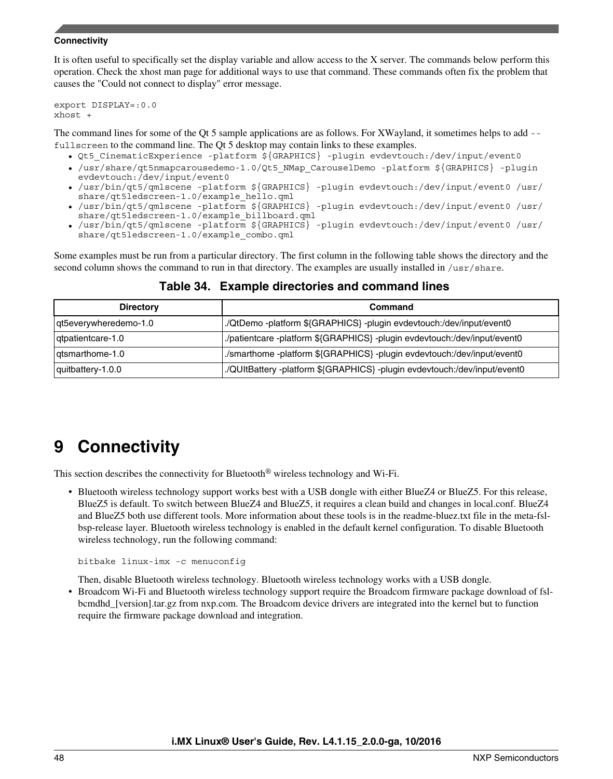#### <span id="page-47-0"></span>**Connectivity**

It is often useful to specifically set the display variable and allow access to the X server. The commands below perform this operation. Check the xhost man page for additional ways to use that command. These commands often fix the problem that causes the "Could not connect to display" error message.

export DISPLAY=:0.0 xhost +

The command lines for some of the Qt 5 sample applications are as follows. For XWayland, it sometimes helps to add - fullscreen to the command line. The Qt 5 desktop may contain links to these examples.

- Qt5 CinematicExperience -platform \${GRAPHICS} -plugin evdevtouch:/dev/input/event0
- /usr/share/qt5nmapcarousedemo-1.0/Qt5\_NMap\_CarouselDemo -platform \${GRAPHICS} -plugin evdevtouch:/dev/input/event0
- /usr/bin/qt5/qmlscene -platform \${GRAPHICS} -plugin evdevtouch:/dev/input/event0 /usr/ share/qt5ledscreen-1.0/example\_hello.qml
- /usr/bin/qt5/qmlscene -platform \${GRAPHICS} -plugin evdevtouch:/dev/input/event0 /usr/ share/qt5ledscreen-1.0/example\_billboard.qml
- /usr/bin/qt5/qmlscene -platform \${GRAPHICS} -plugin evdevtouch:/dev/input/event0 /usr/ share/qt5ledscreen-1.0/example\_combo.qml

Some examples must be run from a particular directory. The first column in the following table shows the directory and the second column shows the command to run in that directory. The examples are usually installed in /usr/share.

| <b>Directory</b>      | Command                                                                   |  |
|-----------------------|---------------------------------------------------------------------------|--|
| at5everywheredemo-1.0 | ./QtDemo -platform \${GRAPHICS} -plugin evdevtouch:/dev/input/event0      |  |
| atpatientcare-1.0     | ./patientcare -platform \${GRAPHICS} -plugin evdevtouch:/dev/input/event0 |  |
| atsmarthome-1.0       | /smarthome -platform \${GRAPHICS} -plugin evdevtouch:/dev/input/event0    |  |
| quitbattery-1.0.0     | ./QUItBattery -platform \${GRAPHICS} -plugin evdevtouch:/dev/input/event0 |  |

### **Table 34. Example directories and command lines**

## **9 Connectivity**

This section describes the connectivity for Bluetooth® wireless technology and Wi-Fi.

• Bluetooth wireless technology support works best with a USB dongle with either BlueZ4 or BlueZ5. For this release, BlueZ5 is default. To switch between BlueZ4 and BlueZ5, it requires a clean build and changes in local.conf. BlueZ4 and BlueZ5 both use different tools. More information about these tools is in the readme-bluez.txt file in the meta-fslbsp-release layer. Bluetooth wireless technology is enabled in the default kernel configuration. To disable Bluetooth wireless technology, run the following command:

bitbake linux-imx -c menuconfig

Then, disable Bluetooth wireless technology. Bluetooth wireless technology works with a USB dongle.

• Broadcom Wi-Fi and Bluetooth wireless technology support require the Broadcom firmware package download of fslbcmdhd\_[version].tar.gz from nxp.com. The Broadcom device drivers are integrated into the kernel but to function require the firmware package download and integration.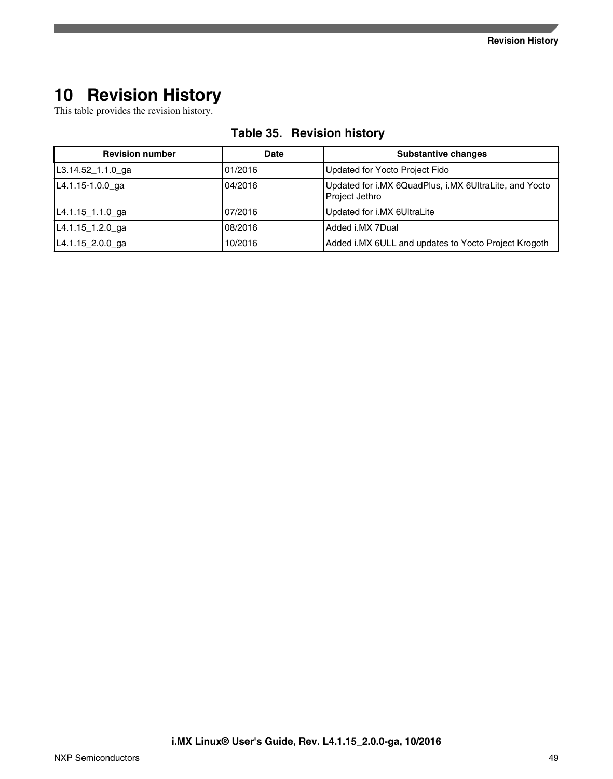## <span id="page-48-0"></span>**10 Revision History**

This table provides the revision history.

| <b>Revision number</b> | <b>Date</b> | <b>Substantive changes</b>                                               |
|------------------------|-------------|--------------------------------------------------------------------------|
| $L3.14.52 - 1.1.0$ ga  | 01/2016     | Updated for Yocto Project Fido                                           |
| L4.1.15-1.0.0_ga       | 04/2016     | Updated for i.MX 6QuadPlus, i.MX 6UltraLite, and Yocto<br>Project Jethro |
| $L4.1.15 - 1.1.0$ ga   | 07/2016     | Updated for i.MX 6UltraLite                                              |
| L4.1.15_1.2.0_ga       | 08/2016     | Added i.MX 7Dual                                                         |
| L4.1.15_2.0.0_ga       | 10/2016     | Added i.MX 6ULL and updates to Yocto Project Krogoth                     |

### **Table 35. Revision history**